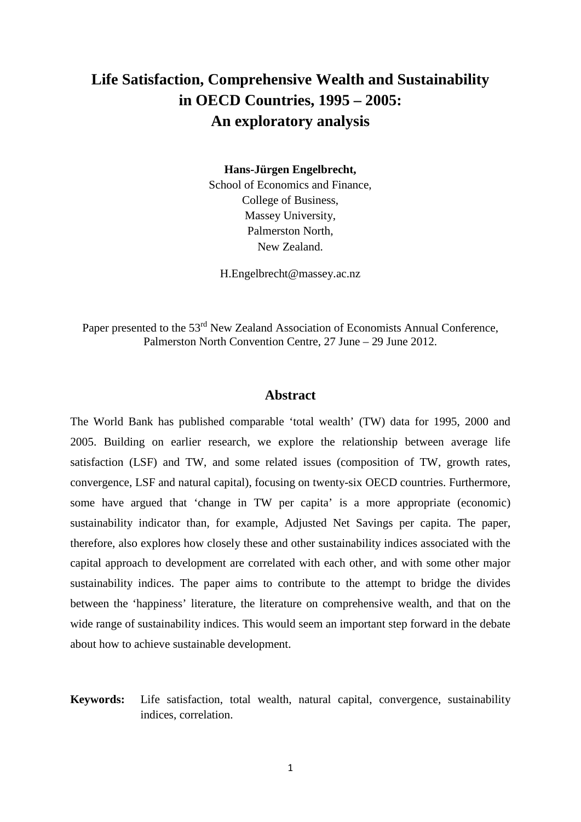# **Life Satisfaction, Comprehensive Wealth and Sustainability in OECD Countries, 1995 – 2005: An exploratory analysis**

**Hans-Jürgen Engelbrecht,**

School of Economics and Finance, College of Business, Massey University, Palmerston North, New Zealand.

H.Engelbrecht@massey.ac.nz

Paper presented to the 53<sup>rd</sup> New Zealand Association of Economists Annual Conference, Palmerston North Convention Centre, 27 June – 29 June 2012.

#### **Abstract**

The World Bank has published comparable 'total wealth' (TW) data for 1995, 2000 and 2005. Building on earlier research, we explore the relationship between average life satisfaction (LSF) and TW, and some related issues (composition of TW, growth rates, convergence, LSF and natural capital), focusing on twenty-six OECD countries. Furthermore, some have argued that 'change in TW per capita' is a more appropriate (economic) sustainability indicator than, for example, Adjusted Net Savings per capita. The paper, therefore, also explores how closely these and other sustainability indices associated with the capital approach to development are correlated with each other, and with some other major sustainability indices. The paper aims to contribute to the attempt to bridge the divides between the 'happiness' literature, the literature on comprehensive wealth, and that on the wide range of sustainability indices. This would seem an important step forward in the debate about how to achieve sustainable development.

**Keywords:** Life satisfaction, total wealth, natural capital, convergence, sustainability indices, correlation.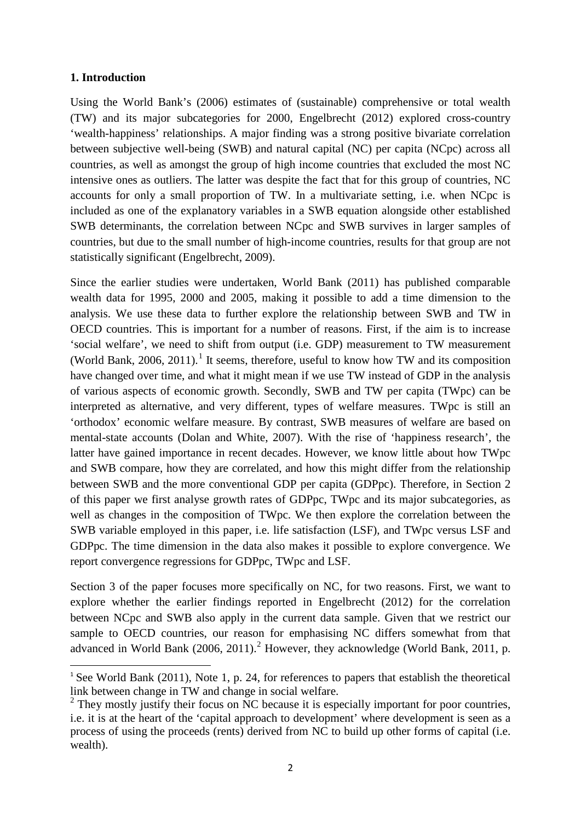## **1. Introduction**

Using the World Bank's (2006) estimates of (sustainable) comprehensive or total wealth (TW) and its major subcategories for 2000, Engelbrecht (2012) explored cross-country 'wealth-happiness' relationships. A major finding was a strong positive bivariate correlation between subjective well-being (SWB) and natural capital (NC) per capita (NCpc) across all countries, as well as amongst the group of high income countries that excluded the most NC intensive ones as outliers. The latter was despite the fact that for this group of countries, NC accounts for only a small proportion of TW. In a multivariate setting, i.e. when NCpc is included as one of the explanatory variables in a SWB equation alongside other established SWB determinants, the correlation between NCpc and SWB survives in larger samples of countries, but due to the small number of high-income countries, results for that group are not statistically significant (Engelbrecht, 2009).

Since the earlier studies were undertaken, World Bank (2011) has published comparable wealth data for 1995, 2000 and 2005, making it possible to add a time dimension to the analysis. We use these data to further explore the relationship between SWB and TW in OECD countries. This is important for a number of reasons. First, if the aim is to increase 'social welfare', we need to shift from output (i.e. GDP) measurement to TW measurement (World Bank, 2006, 20[1](#page-1-0)1).<sup>1</sup> It seems, therefore, useful to know how TW and its composition have changed over time, and what it might mean if we use TW instead of GDP in the analysis of various aspects of economic growth. Secondly, SWB and TW per capita (TWpc) can be interpreted as alternative, and very different, types of welfare measures. TWpc is still an 'orthodox' economic welfare measure. By contrast, SWB measures of welfare are based on mental-state accounts (Dolan and White, 2007). With the rise of 'happiness research', the latter have gained importance in recent decades. However, we know little about how TWpc and SWB compare, how they are correlated, and how this might differ from the relationship between SWB and the more conventional GDP per capita (GDPpc). Therefore, in Section 2 of this paper we first analyse growth rates of GDPpc, TWpc and its major subcategories, as well as changes in the composition of TWpc. We then explore the correlation between the SWB variable employed in this paper, i.e. life satisfaction (LSF), and TWpc versus LSF and GDPpc. The time dimension in the data also makes it possible to explore convergence. We report convergence regressions for GDPpc, TWpc and LSF.

Section 3 of the paper focuses more specifically on NC, for two reasons. First, we want to explore whether the earlier findings reported in Engelbrecht (2012) for the correlation between NCpc and SWB also apply in the current data sample. Given that we restrict our sample to OECD countries, our reason for emphasising NC differs somewhat from that advanced in World Bank ([2](#page-1-1)006, 2011).<sup>2</sup> However, they acknowledge (World Bank, 2011, p.

<span id="page-1-0"></span><sup>&</sup>lt;sup>1</sup> See World Bank (2011), Note 1, p. 24, for references to papers that establish the theoretical link between change in TW and change in social welfare.

<span id="page-1-1"></span> $2$  They mostly justify their focus on NC because it is especially important for poor countries, i.e. it is at the heart of the 'capital approach to development' where development is seen as a process of using the proceeds (rents) derived from NC to build up other forms of capital (i.e. wealth).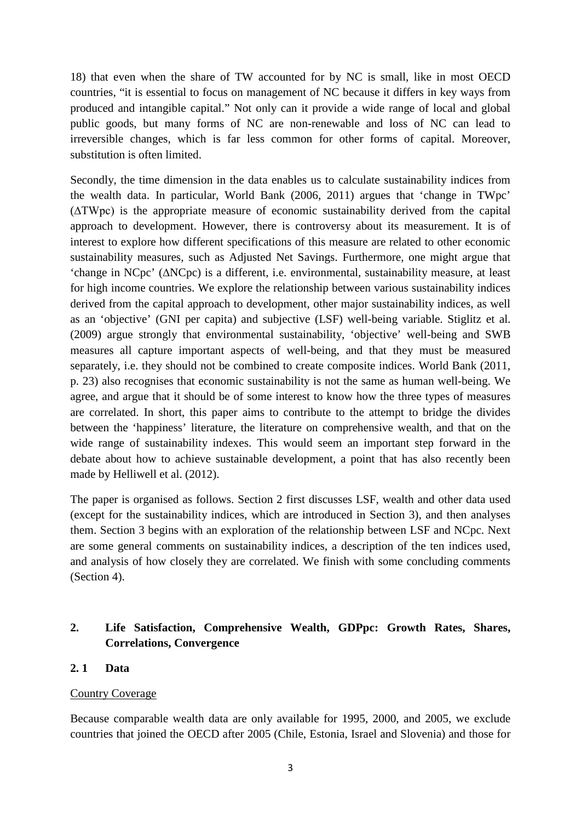18) that even when the share of TW accounted for by NC is small, like in most OECD countries, "it is essential to focus on management of NC because it differs in key ways from produced and intangible capital." Not only can it provide a wide range of local and global public goods, but many forms of NC are non-renewable and loss of NC can lead to irreversible changes, which is far less common for other forms of capital. Moreover, substitution is often limited.

Secondly, the time dimension in the data enables us to calculate sustainability indices from the wealth data. In particular, World Bank (2006, 2011) argues that 'change in TWpc' (∆TWpc) is the appropriate measure of economic sustainability derived from the capital approach to development. However, there is controversy about its measurement. It is of interest to explore how different specifications of this measure are related to other economic sustainability measures, such as Adjusted Net Savings. Furthermore, one might argue that 'change in NCpc' (∆NCpc) is a different, i.e. environmental, sustainability measure, at least for high income countries. We explore the relationship between various sustainability indices derived from the capital approach to development, other major sustainability indices, as well as an 'objective' (GNI per capita) and subjective (LSF) well-being variable. Stiglitz et al. (2009) argue strongly that environmental sustainability, 'objective' well-being and SWB measures all capture important aspects of well-being, and that they must be measured separately, i.e. they should not be combined to create composite indices. World Bank (2011, p. 23) also recognises that economic sustainability is not the same as human well-being. We agree, and argue that it should be of some interest to know how the three types of measures are correlated. In short, this paper aims to contribute to the attempt to bridge the divides between the 'happiness' literature, the literature on comprehensive wealth, and that on the wide range of sustainability indexes. This would seem an important step forward in the debate about how to achieve sustainable development, a point that has also recently been made by Helliwell et al. (2012).

The paper is organised as follows. Section 2 first discusses LSF, wealth and other data used (except for the sustainability indices, which are introduced in Section 3), and then analyses them. Section 3 begins with an exploration of the relationship between LSF and NCpc. Next are some general comments on sustainability indices, a description of the ten indices used, and analysis of how closely they are correlated. We finish with some concluding comments (Section 4).

# **2. Life Satisfaction, Comprehensive Wealth, GDPpc: Growth Rates, Shares, Correlations, Convergence**

# **2. 1 Data**

# Country Coverage

Because comparable wealth data are only available for 1995, 2000, and 2005, we exclude countries that joined the OECD after 2005 (Chile, Estonia, Israel and Slovenia) and those for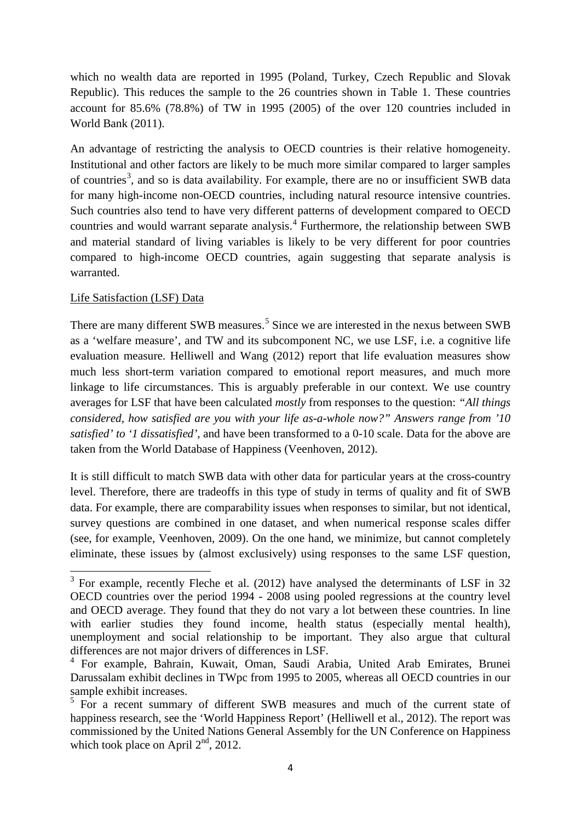which no wealth data are reported in 1995 (Poland, Turkey, Czech Republic and Slovak Republic). This reduces the sample to the 26 countries shown in Table 1. These countries account for 85.6% (78.8%) of TW in 1995 (2005) of the over 120 countries included in World Bank (2011).

An advantage of restricting the analysis to OECD countries is their relative homogeneity. Institutional and other factors are likely to be much more similar compared to larger samples of countries<sup>[3](#page-3-0)</sup>, and so is data availability. For example, there are no or insufficient SWB data for many high-income non-OECD countries, including natural resource intensive countries. Such countries also tend to have very different patterns of development compared to OECD countries and would warrant separate analysis.<sup>[4](#page-3-1)</sup> Furthermore, the relationship between SWB and material standard of living variables is likely to be very different for poor countries compared to high-income OECD countries, again suggesting that separate analysis is warranted.

# Life Satisfaction (LSF) Data

There are many different SWB measures.<sup>[5](#page-3-2)</sup> Since we are interested in the nexus between SWB as a 'welfare measure', and TW and its subcomponent NC, we use LSF, i.e. a cognitive life evaluation measure. Helliwell and Wang (2012) report that life evaluation measures show much less short-term variation compared to emotional report measures, and much more linkage to life circumstances. This is arguably preferable in our context. We use country averages for LSF that have been calculated *mostly* from responses to the question: *"All things considered, how satisfied are you with your life as-a-whole now?" Answers range from '10 satisfied' to '1 dissatisfied'*, and have been transformed to a 0-10 scale. Data for the above are taken from the World Database of Happiness (Veenhoven, 2012).

It is still difficult to match SWB data with other data for particular years at the cross-country level. Therefore, there are tradeoffs in this type of study in terms of quality and fit of SWB data. For example, there are comparability issues when responses to similar, but not identical, survey questions are combined in one dataset, and when numerical response scales differ (see, for example, Veenhoven, 2009). On the one hand, we minimize, but cannot completely eliminate, these issues by (almost exclusively) using responses to the same LSF question,

<span id="page-3-0"></span> $3$  For example, recently Fleche et al. (2012) have analysed the determinants of LSF in 32 OECD countries over the period 1994 - 2008 using pooled regressions at the country level and OECD average. They found that they do not vary a lot between these countries. In line with earlier studies they found income, health status (especially mental health), unemployment and social relationship to be important. They also argue that cultural differences are not major drivers of differences in LSF.

<span id="page-3-1"></span><sup>4</sup> For example, Bahrain, Kuwait, Oman, Saudi Arabia, United Arab Emirates, Brunei Darussalam exhibit declines in TWpc from 1995 to 2005, whereas all OECD countries in our sample exhibit increases.

<span id="page-3-2"></span> $5 F$  For a recent summary of different SWB measures and much of the current state of happiness research, see the 'World Happiness Report' (Helliwell et al., 2012). The report was commissioned by the United Nations General Assembly for the UN Conference on Happiness which took place on April  $2<sup>nd</sup>$ , 2012.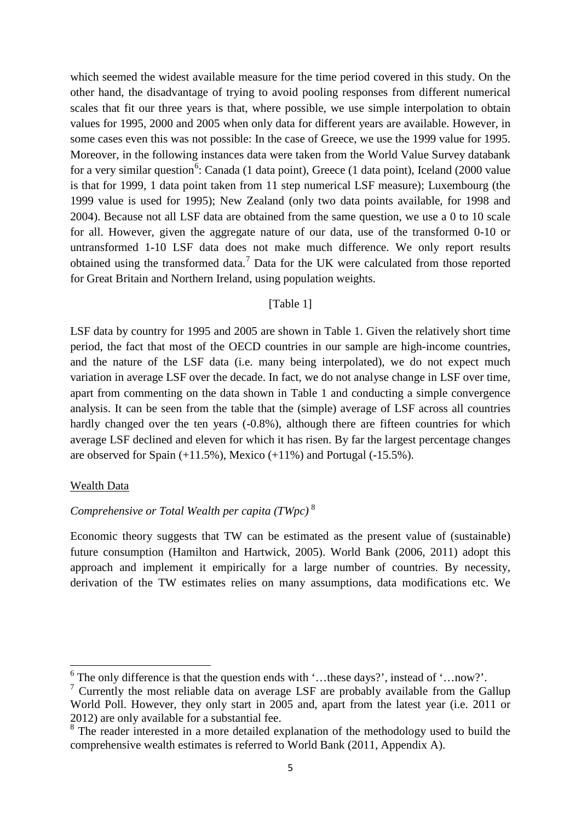which seemed the widest available measure for the time period covered in this study. On the other hand, the disadvantage of trying to avoid pooling responses from different numerical scales that fit our three years is that, where possible, we use simple interpolation to obtain values for 1995, 2000 and 2005 when only data for different years are available. However, in some cases even this was not possible: In the case of Greece, we use the 1999 value for 1995. Moreover, in the following instances data were taken from the World Value Survey databank for a very similar question<sup>[6](#page-4-0)</sup>: Canada (1 data point), Greece (1 data point), Iceland (2000 value is that for 1999, 1 data point taken from 11 step numerical LSF measure); Luxembourg (the 1999 value is used for 1995); New Zealand (only two data points available, for 1998 and 2004). Because not all LSF data are obtained from the same question, we use a 0 to 10 scale for all. However, given the aggregate nature of our data, use of the transformed 0-10 or untransformed 1-10 LSF data does not make much difference. We only report results obtained using the transformed data.<sup>[7](#page-4-1)</sup> Data for the UK were calculated from those reported for Great Britain and Northern Ireland, using population weights.

#### [Table 1]

LSF data by country for 1995 and 2005 are shown in Table 1. Given the relatively short time period, the fact that most of the OECD countries in our sample are high-income countries, and the nature of the LSF data (i.e. many being interpolated), we do not expect much variation in average LSF over the decade. In fact, we do not analyse change in LSF over time, apart from commenting on the data shown in Table 1 and conducting a simple convergence analysis. It can be seen from the table that the (simple) average of LSF across all countries hardly changed over the ten years (-0.8%), although there are fifteen countries for which average LSF declined and eleven for which it has risen. By far the largest percentage changes are observed for Spain  $(+11.5\%)$ , Mexico  $(+11\%)$  and Portugal  $(-15.5\%)$ .

#### Wealth Data

# *Comprehensive or Total Wealth per capita (TWpc)* [8](#page-4-2)

Economic theory suggests that TW can be estimated as the present value of (sustainable) future consumption (Hamilton and Hartwick, 2005). World Bank (2006, 2011) adopt this approach and implement it empirically for a large number of countries. By necessity, derivation of the TW estimates relies on many assumptions, data modifications etc. We

<span id="page-4-0"></span> $6$  The only difference is that the question ends with '...these days?', instead of '...now?'.

<span id="page-4-1"></span><sup>&</sup>lt;sup>7</sup> Currently the most reliable data on average LSF are probably available from the Gallup World Poll. However, they only start in 2005 and, apart from the latest year (i.e. 2011 or 2012) are only available for a substantial fee.

<span id="page-4-2"></span> $8$  The reader interested in a more detailed explanation of the methodology used to build the comprehensive wealth estimates is referred to World Bank (2011, Appendix A).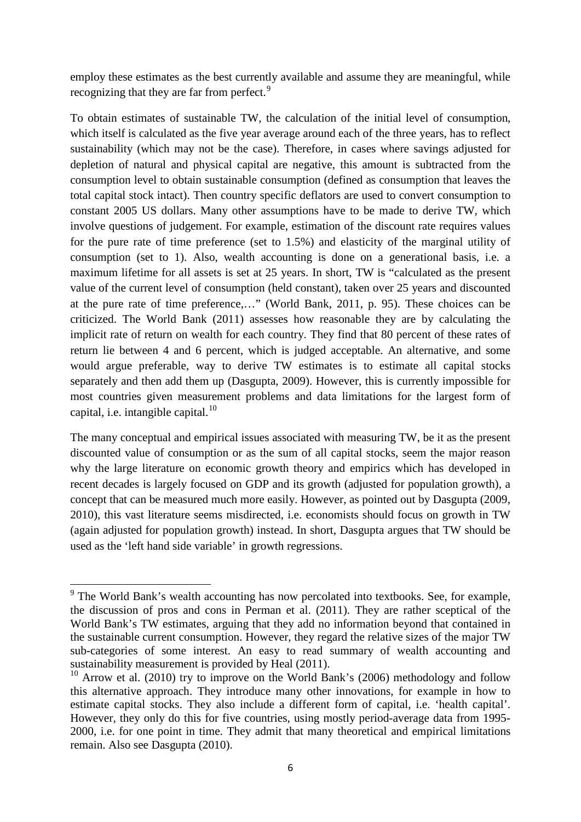employ these estimates as the best currently available and assume they are meaningful, while recognizing that they are far from perfect.<sup>[9](#page-5-0)</sup>

To obtain estimates of sustainable TW, the calculation of the initial level of consumption, which itself is calculated as the five year average around each of the three years, has to reflect sustainability (which may not be the case). Therefore, in cases where savings adjusted for depletion of natural and physical capital are negative, this amount is subtracted from the consumption level to obtain sustainable consumption (defined as consumption that leaves the total capital stock intact). Then country specific deflators are used to convert consumption to constant 2005 US dollars. Many other assumptions have to be made to derive TW, which involve questions of judgement. For example, estimation of the discount rate requires values for the pure rate of time preference (set to 1.5%) and elasticity of the marginal utility of consumption (set to 1). Also, wealth accounting is done on a generational basis, i.e. a maximum lifetime for all assets is set at 25 years. In short, TW is "calculated as the present value of the current level of consumption (held constant), taken over 25 years and discounted at the pure rate of time preference,…" (World Bank, 2011, p. 95). These choices can be criticized. The World Bank (2011) assesses how reasonable they are by calculating the implicit rate of return on wealth for each country. They find that 80 percent of these rates of return lie between 4 and 6 percent, which is judged acceptable. An alternative, and some would argue preferable, way to derive TW estimates is to estimate all capital stocks separately and then add them up (Dasgupta, 2009). However, this is currently impossible for most countries given measurement problems and data limitations for the largest form of capital, i.e. intangible capital.<sup>[10](#page-5-1)</sup>

The many conceptual and empirical issues associated with measuring TW, be it as the present discounted value of consumption or as the sum of all capital stocks, seem the major reason why the large literature on economic growth theory and empirics which has developed in recent decades is largely focused on GDP and its growth (adjusted for population growth), a concept that can be measured much more easily. However, as pointed out by Dasgupta (2009, 2010), this vast literature seems misdirected, i.e. economists should focus on growth in TW (again adjusted for population growth) instead. In short, Dasgupta argues that TW should be used as the 'left hand side variable' in growth regressions.

<span id="page-5-0"></span><sup>&</sup>lt;sup>9</sup> The World Bank's wealth accounting has now percolated into textbooks. See, for example, the discussion of pros and cons in Perman et al. (2011). They are rather sceptical of the World Bank's TW estimates, arguing that they add no information beyond that contained in the sustainable current consumption. However, they regard the relative sizes of the major TW sub-categories of some interest. An easy to read summary of wealth accounting and sustainability measurement is provided by Heal (2011).

<span id="page-5-1"></span><sup>&</sup>lt;sup>10</sup> Arrow et al. (2010) try to improve on the World Bank's (2006) methodology and follow this alternative approach. They introduce many other innovations, for example in how to estimate capital stocks. They also include a different form of capital, i.e. 'health capital'. However, they only do this for five countries, using mostly period-average data from 1995- 2000, i.e. for one point in time. They admit that many theoretical and empirical limitations remain. Also see Dasgupta (2010).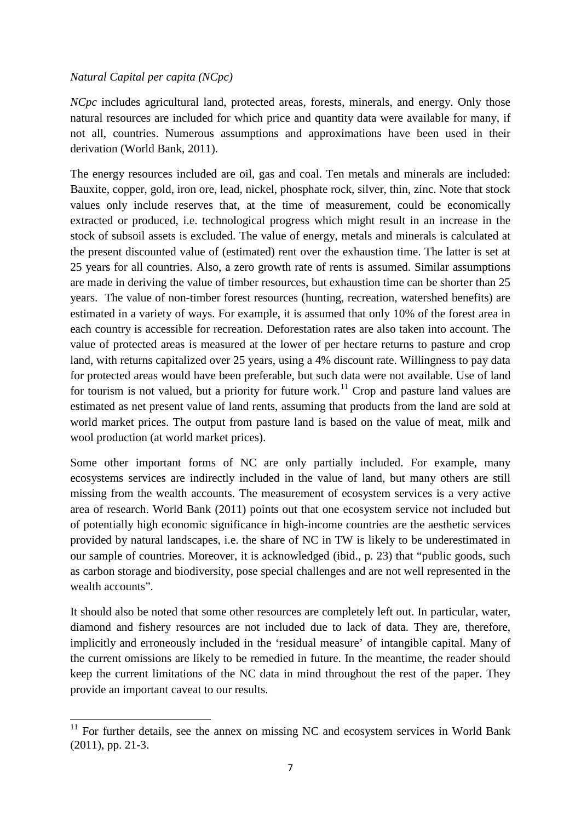#### *Natural Capital per capita (NCpc)*

*NCpc* includes agricultural land, protected areas, forests, minerals, and energy. Only those natural resources are included for which price and quantity data were available for many, if not all, countries. Numerous assumptions and approximations have been used in their derivation (World Bank, 2011).

The energy resources included are oil, gas and coal. Ten metals and minerals are included: Bauxite, copper, gold, iron ore, lead, nickel, phosphate rock, silver, thin, zinc. Note that stock values only include reserves that, at the time of measurement, could be economically extracted or produced, i.e. technological progress which might result in an increase in the stock of subsoil assets is excluded. The value of energy, metals and minerals is calculated at the present discounted value of (estimated) rent over the exhaustion time. The latter is set at 25 years for all countries. Also, a zero growth rate of rents is assumed. Similar assumptions are made in deriving the value of timber resources, but exhaustion time can be shorter than 25 years. The value of non-timber forest resources (hunting, recreation, watershed benefits) are estimated in a variety of ways. For example, it is assumed that only 10% of the forest area in each country is accessible for recreation. Deforestation rates are also taken into account. The value of protected areas is measured at the lower of per hectare returns to pasture and crop land, with returns capitalized over 25 years, using a 4% discount rate. Willingness to pay data for protected areas would have been preferable, but such data were not available. Use of land for tourism is not valued, but a priority for future work.<sup>[11](#page-6-0)</sup> Crop and pasture land values are estimated as net present value of land rents, assuming that products from the land are sold at world market prices. The output from pasture land is based on the value of meat, milk and wool production (at world market prices).

Some other important forms of NC are only partially included. For example, many ecosystems services are indirectly included in the value of land, but many others are still missing from the wealth accounts. The measurement of ecosystem services is a very active area of research. World Bank (2011) points out that one ecosystem service not included but of potentially high economic significance in high-income countries are the aesthetic services provided by natural landscapes, i.e. the share of NC in TW is likely to be underestimated in our sample of countries. Moreover, it is acknowledged (ibid., p. 23) that "public goods, such as carbon storage and biodiversity, pose special challenges and are not well represented in the wealth accounts".

It should also be noted that some other resources are completely left out. In particular, water, diamond and fishery resources are not included due to lack of data. They are, therefore, implicitly and erroneously included in the 'residual measure' of intangible capital. Many of the current omissions are likely to be remedied in future. In the meantime, the reader should keep the current limitations of the NC data in mind throughout the rest of the paper. They provide an important caveat to our results.

<span id="page-6-0"></span> $11$  For further details, see the annex on missing NC and ecosystem services in World Bank (2011), pp. 21-3.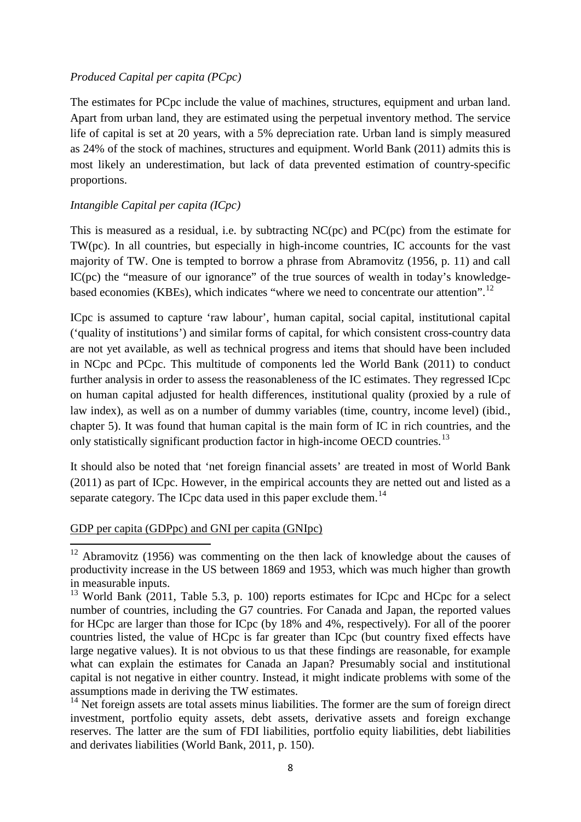#### *Produced Capital per capita (PCpc)*

The estimates for PCpc include the value of machines, structures, equipment and urban land. Apart from urban land, they are estimated using the perpetual inventory method. The service life of capital is set at 20 years, with a 5% depreciation rate. Urban land is simply measured as 24% of the stock of machines, structures and equipment. World Bank (2011) admits this is most likely an underestimation, but lack of data prevented estimation of country-specific proportions.

# *Intangible Capital per capita (ICpc)*

This is measured as a residual, i.e. by subtracting NC(pc) and PC(pc) from the estimate for TW(pc). In all countries, but especially in high-income countries, IC accounts for the vast majority of TW. One is tempted to borrow a phrase from Abramovitz (1956, p. 11) and call IC(pc) the "measure of our ignorance" of the true sources of wealth in today's knowledge-based economies (KBEs), which indicates "where we need to concentrate our attention".<sup>[12](#page-7-0)</sup>

ICpc is assumed to capture 'raw labour', human capital, social capital, institutional capital ('quality of institutions') and similar forms of capital, for which consistent cross-country data are not yet available, as well as technical progress and items that should have been included in NCpc and PCpc. This multitude of components led the World Bank (2011) to conduct further analysis in order to assess the reasonableness of the IC estimates. They regressed ICpc on human capital adjusted for health differences, institutional quality (proxied by a rule of law index), as well as on a number of dummy variables (time, country, income level) (ibid., chapter 5). It was found that human capital is the main form of IC in rich countries, and the only statistically significant production factor in high-income OECD countries.<sup>[13](#page-7-1)</sup>

It should also be noted that 'net foreign financial assets' are treated in most of World Bank (2011) as part of ICpc. However, in the empirical accounts they are netted out and listed as a separate category. The ICpc data used in this paper exclude them.<sup>[14](#page-7-2)</sup>

# GDP per capita (GDPpc) and GNI per capita (GNIpc)

<span id="page-7-0"></span><sup>&</sup>lt;sup>12</sup> Abramovitz (1956) was commenting on the then lack of knowledge about the causes of productivity increase in the US between 1869 and 1953, which was much higher than growth in measurable inputs.

<span id="page-7-1"></span> $13$  World Bank (2011, Table 5.3, p. 100) reports estimates for ICpc and HCpc for a select number of countries, including the G7 countries. For Canada and Japan, the reported values for HCpc are larger than those for ICpc (by 18% and 4%, respectively). For all of the poorer countries listed, the value of HCpc is far greater than ICpc (but country fixed effects have large negative values). It is not obvious to us that these findings are reasonable, for example what can explain the estimates for Canada an Japan? Presumably social and institutional capital is not negative in either country. Instead, it might indicate problems with some of the assumptions made in deriving the TW estimates.

<span id="page-7-2"></span> $14$  Net foreign assets are total assets minus liabilities. The former are the sum of foreign direct investment, portfolio equity assets, debt assets, derivative assets and foreign exchange reserves. The latter are the sum of FDI liabilities, portfolio equity liabilities, debt liabilities and derivates liabilities (World Bank, 2011, p. 150).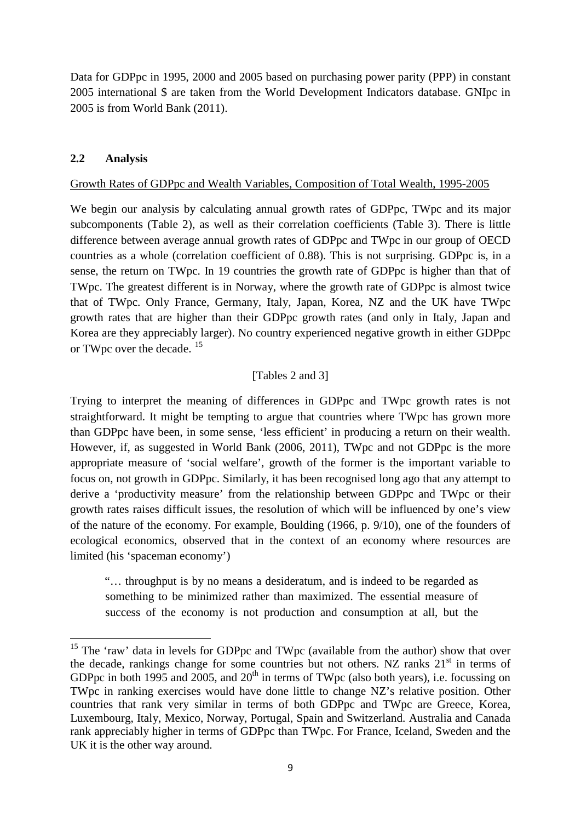Data for GDPpc in 1995, 2000 and 2005 based on purchasing power parity (PPP) in constant 2005 international \$ are taken from the World Development Indicators database. GNIpc in 2005 is from World Bank (2011).

# **2.2 Analysis**

### Growth Rates of GDPpc and Wealth Variables, Composition of Total Wealth, 1995-2005

We begin our analysis by calculating annual growth rates of GDPpc, TWpc and its major subcomponents (Table 2), as well as their correlation coefficients (Table 3). There is little difference between average annual growth rates of GDPpc and TWpc in our group of OECD countries as a whole (correlation coefficient of 0.88). This is not surprising. GDPpc is, in a sense, the return on TWpc. In 19 countries the growth rate of GDPpc is higher than that of TWpc. The greatest different is in Norway, where the growth rate of GDPpc is almost twice that of TWpc. Only France, Germany, Italy, Japan, Korea, NZ and the UK have TWpc growth rates that are higher than their GDPpc growth rates (and only in Italy, Japan and Korea are they appreciably larger). No country experienced negative growth in either GDPpc or TWpc over the decade. <sup>[15](#page-8-0)</sup>

# [Tables 2 and 3]

Trying to interpret the meaning of differences in GDPpc and TWpc growth rates is not straightforward. It might be tempting to argue that countries where TWpc has grown more than GDPpc have been, in some sense, 'less efficient' in producing a return on their wealth. However, if, as suggested in World Bank (2006, 2011), TWpc and not GDPpc is the more appropriate measure of 'social welfare', growth of the former is the important variable to focus on, not growth in GDPpc. Similarly, it has been recognised long ago that any attempt to derive a 'productivity measure' from the relationship between GDPpc and TWpc or their growth rates raises difficult issues, the resolution of which will be influenced by one's view of the nature of the economy. For example, Boulding (1966, p. 9/10), one of the founders of ecological economics, observed that in the context of an economy where resources are limited (his 'spaceman economy')

"… throughput is by no means a desideratum, and is indeed to be regarded as something to be minimized rather than maximized. The essential measure of success of the economy is not production and consumption at all, but the

<span id="page-8-0"></span><sup>&</sup>lt;sup>15</sup> The 'raw' data in levels for GDPpc and TWpc (available from the author) show that over the decade, rankings change for some countries but not others. NZ ranks  $21<sup>st</sup>$  in terms of GDPpc in both 1995 and 2005, and  $20<sup>th</sup>$  in terms of TWpc (also both years), i.e. focussing on TWpc in ranking exercises would have done little to change NZ's relative position. Other countries that rank very similar in terms of both GDPpc and TWpc are Greece, Korea, Luxembourg, Italy, Mexico, Norway, Portugal, Spain and Switzerland. Australia and Canada rank appreciably higher in terms of GDPpc than TWpc. For France, Iceland, Sweden and the UK it is the other way around.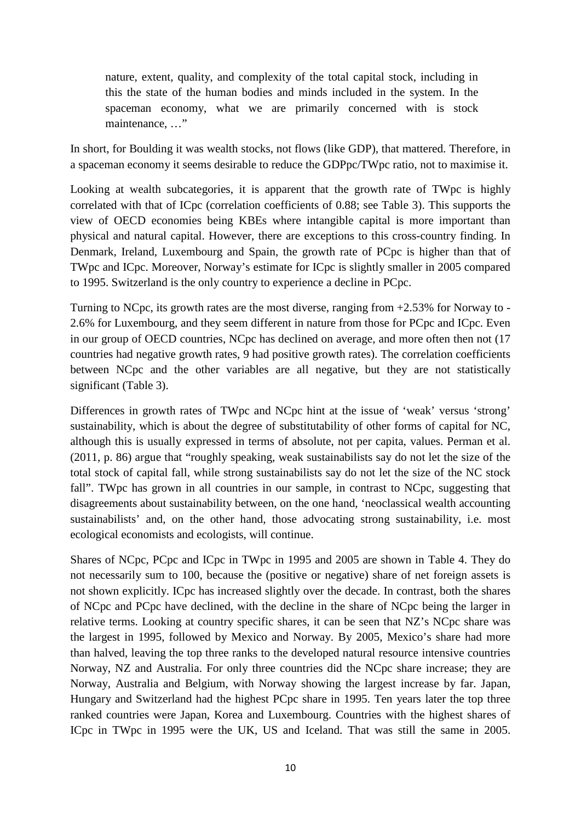nature, extent, quality, and complexity of the total capital stock, including in this the state of the human bodies and minds included in the system. In the spaceman economy, what we are primarily concerned with is stock maintenance, ..."

In short, for Boulding it was wealth stocks, not flows (like GDP), that mattered. Therefore, in a spaceman economy it seems desirable to reduce the GDPpc/TWpc ratio, not to maximise it.

Looking at wealth subcategories, it is apparent that the growth rate of TWpc is highly correlated with that of ICpc (correlation coefficients of 0.88; see Table 3). This supports the view of OECD economies being KBEs where intangible capital is more important than physical and natural capital. However, there are exceptions to this cross-country finding. In Denmark, Ireland, Luxembourg and Spain, the growth rate of PCpc is higher than that of TWpc and ICpc. Moreover, Norway's estimate for ICpc is slightly smaller in 2005 compared to 1995. Switzerland is the only country to experience a decline in PCpc.

Turning to NCpc, its growth rates are the most diverse, ranging from +2.53% for Norway to - 2.6% for Luxembourg, and they seem different in nature from those for PCpc and ICpc. Even in our group of OECD countries, NCpc has declined on average, and more often then not (17 countries had negative growth rates, 9 had positive growth rates). The correlation coefficients between NCpc and the other variables are all negative, but they are not statistically significant (Table 3).

Differences in growth rates of TWpc and NCpc hint at the issue of 'weak' versus 'strong' sustainability, which is about the degree of substitutability of other forms of capital for NC, although this is usually expressed in terms of absolute, not per capita, values. Perman et al. (2011, p. 86) argue that "roughly speaking, weak sustainabilists say do not let the size of the total stock of capital fall, while strong sustainabilists say do not let the size of the NC stock fall". TWpc has grown in all countries in our sample, in contrast to NCpc, suggesting that disagreements about sustainability between, on the one hand, 'neoclassical wealth accounting sustainabilists' and, on the other hand, those advocating strong sustainability, i.e. most ecological economists and ecologists, will continue.

Shares of NCpc, PCpc and ICpc in TWpc in 1995 and 2005 are shown in Table 4. They do not necessarily sum to 100, because the (positive or negative) share of net foreign assets is not shown explicitly. ICpc has increased slightly over the decade. In contrast, both the shares of NCpc and PCpc have declined, with the decline in the share of NCpc being the larger in relative terms. Looking at country specific shares, it can be seen that NZ's NCpc share was the largest in 1995, followed by Mexico and Norway. By 2005, Mexico's share had more than halved, leaving the top three ranks to the developed natural resource intensive countries Norway, NZ and Australia. For only three countries did the NCpc share increase; they are Norway, Australia and Belgium, with Norway showing the largest increase by far. Japan, Hungary and Switzerland had the highest PCpc share in 1995. Ten years later the top three ranked countries were Japan, Korea and Luxembourg. Countries with the highest shares of ICpc in TWpc in 1995 were the UK, US and Iceland. That was still the same in 2005.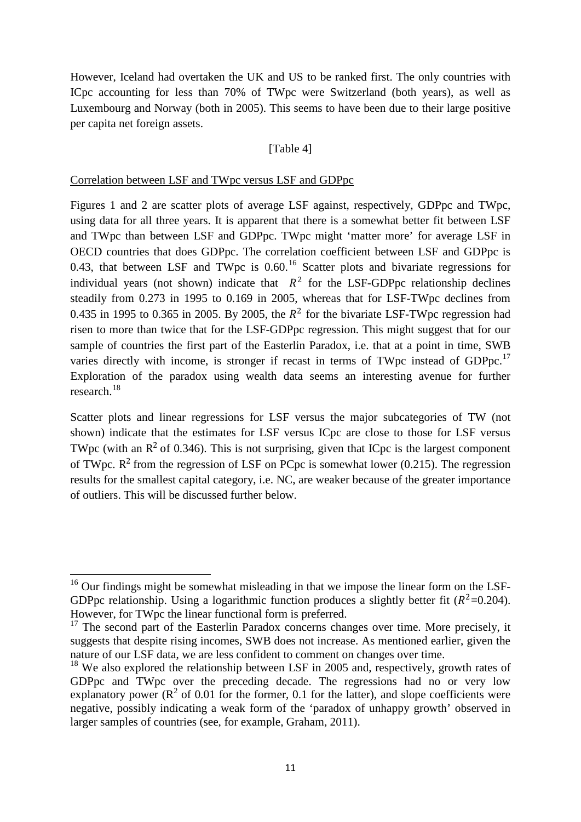However, Iceland had overtaken the UK and US to be ranked first. The only countries with ICpc accounting for less than 70% of TWpc were Switzerland (both years), as well as Luxembourg and Norway (both in 2005). This seems to have been due to their large positive per capita net foreign assets.

#### [Table 4]

#### Correlation between LSF and TWpc versus LSF and GDPpc

Figures 1 and 2 are scatter plots of average LSF against, respectively, GDPpc and TWpc, using data for all three years. It is apparent that there is a somewhat better fit between LSF and TWpc than between LSF and GDPpc. TWpc might 'matter more' for average LSF in OECD countries that does GDPpc. The correlation coefficient between LSF and GDPpc is 0.43, that between LSF and TWpc is  $0.60$ .<sup>[16](#page-10-0)</sup> Scatter plots and bivariate regressions for individual years (not shown) indicate that  $R^2$  for the LSF-GDPpc relationship declines steadily from 0.273 in 1995 to 0.169 in 2005, whereas that for LSF-TWpc declines from 0.435 in 1995 to 0.365 in 2005. By 2005, the  $R^2$  for the bivariate LSF-TWpc regression had risen to more than twice that for the LSF-GDPpc regression. This might suggest that for our sample of countries the first part of the Easterlin Paradox, i.e. that at a point in time, SWB varies directly with income, is stronger if recast in terms of TWpc instead of GDPpc.<sup>[17](#page-10-1)</sup> Exploration of the paradox using wealth data seems an interesting avenue for further research.[18](#page-10-2)

Scatter plots and linear regressions for LSF versus the major subcategories of TW (not shown) indicate that the estimates for LSF versus ICpc are close to those for LSF versus TWpc (with an  $R^2$  of 0.346). This is not surprising, given that ICpc is the largest component of TWpc.  $R^2$  from the regression of LSF on PCpc is somewhat lower (0.215). The regression results for the smallest capital category, i.e. NC, are weaker because of the greater importance of outliers. This will be discussed further below.

<span id="page-10-0"></span> $16$  Our findings might be somewhat misleading in that we impose the linear form on the LSF-GDPpc relationship. Using a logarithmic function produces a slightly better fit  $(R^2=0.204)$ . However, for TWpc the linear functional form is preferred.

<span id="page-10-1"></span> $17$  The second part of the Easterlin Paradox concerns changes over time. More precisely, it suggests that despite rising incomes, SWB does not increase. As mentioned earlier, given the nature of our LSF data, we are less confident to comment on changes over time.

<span id="page-10-2"></span> $18$  We also explored the relationship between LSF in 2005 and, respectively, growth rates of GDPpc and TWpc over the preceding decade. The regressions had no or very low explanatory power ( $\mathbb{R}^2$  of 0.01 for the former, 0.1 for the latter), and slope coefficients were negative, possibly indicating a weak form of the 'paradox of unhappy growth' observed in larger samples of countries (see, for example, Graham, 2011).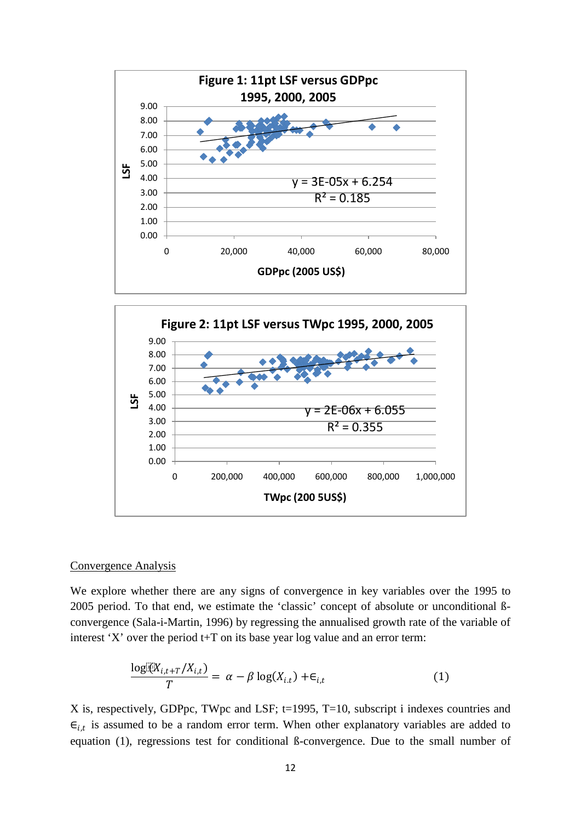



#### Convergence Analysis

We explore whether there are any signs of convergence in key variables over the 1995 to 2005 period. To that end, we estimate the 'classic' concept of absolute or unconditional ßconvergence (Sala-i-Martin, 1996) by regressing the annualised growth rate of the variable of interest 'X' over the period  $t+T$  on its base year log value and an error term:

$$
\frac{\log[\mathcal{X}_{i,t+T}/X_{i,t})}{T} = \alpha - \beta \log(X_{i,t}) + \epsilon_{i,t}
$$
\n(1)

X is, respectively, GDPpc, TWpc and LSF; t=1995, T=10, subscript i indexes countries and  $\epsilon_{i,t}$  is assumed to be a random error term. When other explanatory variables are added to equation (1), regressions test for conditional ß-convergence. Due to the small number of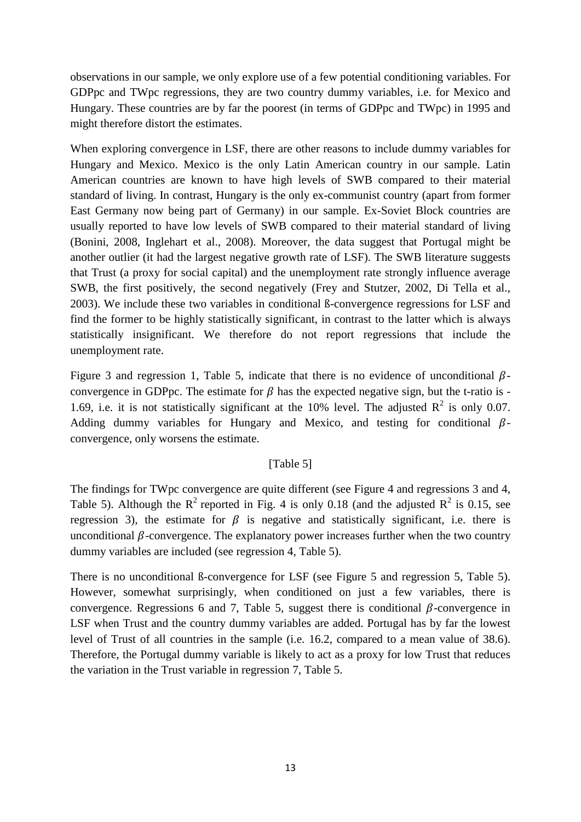observations in our sample, we only explore use of a few potential conditioning variables. For GDPpc and TWpc regressions, they are two country dummy variables, i.e. for Mexico and Hungary. These countries are by far the poorest (in terms of GDPpc and TWpc) in 1995 and might therefore distort the estimates.

When exploring convergence in LSF, there are other reasons to include dummy variables for Hungary and Mexico. Mexico is the only Latin American country in our sample. Latin American countries are known to have high levels of SWB compared to their material standard of living. In contrast, Hungary is the only ex-communist country (apart from former East Germany now being part of Germany) in our sample. Ex-Soviet Block countries are usually reported to have low levels of SWB compared to their material standard of living (Bonini, 2008, Inglehart et al., 2008). Moreover, the data suggest that Portugal might be another outlier (it had the largest negative growth rate of LSF). The SWB literature suggests that Trust (a proxy for social capital) and the unemployment rate strongly influence average SWB, the first positively, the second negatively (Frey and Stutzer, 2002, Di Tella et al., 2003). We include these two variables in conditional ß-convergence regressions for LSF and find the former to be highly statistically significant, in contrast to the latter which is always statistically insignificant. We therefore do not report regressions that include the unemployment rate.

Figure 3 and regression 1, Table 5, indicate that there is no evidence of unconditional  $\beta$ convergence in GDPpc. The estimate for  $\beta$  has the expected negative sign, but the t-ratio is -1.69, i.e. it is not statistically significant at the 10% level. The adjusted  $R^2$  is only 0.07. Adding dummy variables for Hungary and Mexico, and testing for conditional  $\beta$ convergence, only worsens the estimate.

# [Table 5]

The findings for TWpc convergence are quite different (see Figure 4 and regressions 3 and 4, Table 5). Although the  $R^2$  reported in Fig. 4 is only 0.18 (and the adjusted  $R^2$  is 0.15, see regression 3), the estimate for  $\beta$  is negative and statistically significant, i.e. there is unconditional  $\beta$ -convergence. The explanatory power increases further when the two country dummy variables are included (see regression 4, Table 5).

There is no unconditional ß-convergence for LSF (see Figure 5 and regression 5, Table 5). However, somewhat surprisingly, when conditioned on just a few variables, there is convergence. Regressions 6 and 7, Table 5, suggest there is conditional  $\beta$ -convergence in LSF when Trust and the country dummy variables are added. Portugal has by far the lowest level of Trust of all countries in the sample (i.e. 16.2, compared to a mean value of 38.6). Therefore, the Portugal dummy variable is likely to act as a proxy for low Trust that reduces the variation in the Trust variable in regression 7, Table 5.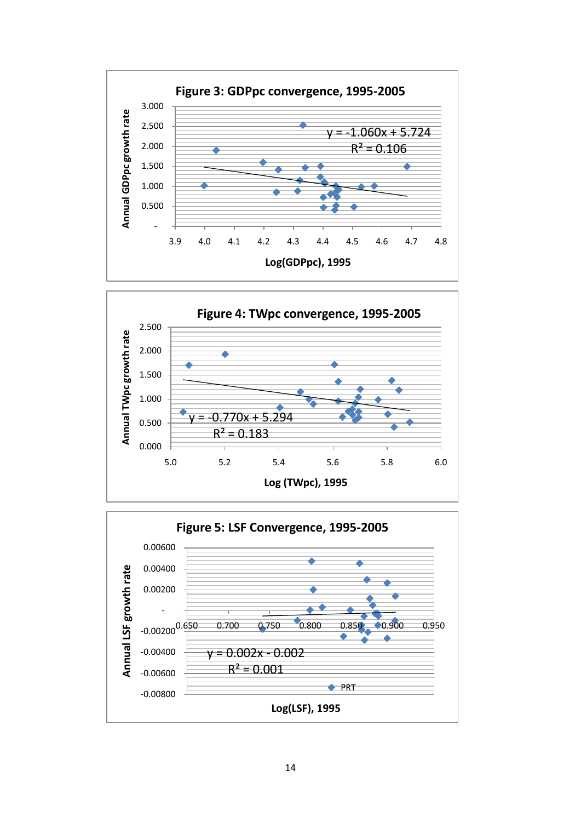



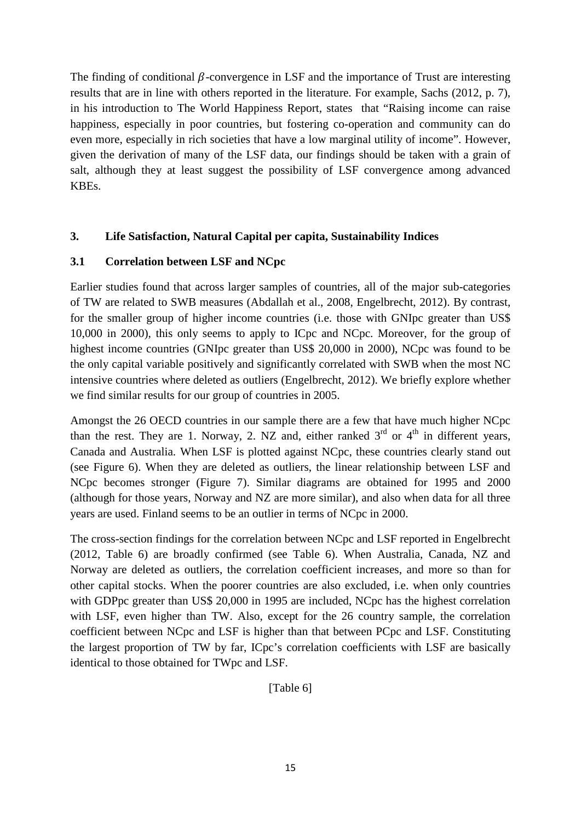The finding of conditional  $\beta$ -convergence in LSF and the importance of Trust are interesting results that are in line with others reported in the literature. For example, Sachs (2012, p. 7), in his introduction to The World Happiness Report, states that "Raising income can raise happiness, especially in poor countries, but fostering co-operation and community can do even more, especially in rich societies that have a low marginal utility of income". However, given the derivation of many of the LSF data, our findings should be taken with a grain of salt, although they at least suggest the possibility of LSF convergence among advanced KBEs.

# **3. Life Satisfaction, Natural Capital per capita, Sustainability Indices**

# **3.1 Correlation between LSF and NCpc**

Earlier studies found that across larger samples of countries, all of the major sub-categories of TW are related to SWB measures (Abdallah et al., 2008, Engelbrecht, 2012). By contrast, for the smaller group of higher income countries (i.e. those with GNIpc greater than US\$ 10,000 in 2000), this only seems to apply to ICpc and NCpc. Moreover, for the group of highest income countries (GNIpc greater than US\$ 20,000 in 2000), NCpc was found to be the only capital variable positively and significantly correlated with SWB when the most NC intensive countries where deleted as outliers (Engelbrecht, 2012). We briefly explore whether we find similar results for our group of countries in 2005.

Amongst the 26 OECD countries in our sample there are a few that have much higher NCpc than the rest. They are 1. Norway, 2. NZ and, either ranked  $3<sup>rd</sup>$  or  $4<sup>th</sup>$  in different years, Canada and Australia. When LSF is plotted against NCpc, these countries clearly stand out (see Figure 6). When they are deleted as outliers, the linear relationship between LSF and NCpc becomes stronger (Figure 7). Similar diagrams are obtained for 1995 and 2000 (although for those years, Norway and NZ are more similar), and also when data for all three years are used. Finland seems to be an outlier in terms of NCpc in 2000.

The cross-section findings for the correlation between NCpc and LSF reported in Engelbrecht (2012, Table 6) are broadly confirmed (see Table 6). When Australia, Canada, NZ and Norway are deleted as outliers, the correlation coefficient increases, and more so than for other capital stocks. When the poorer countries are also excluded, i.e. when only countries with GDPpc greater than US\$ 20,000 in 1995 are included, NCpc has the highest correlation with LSF, even higher than TW. Also, except for the 26 country sample, the correlation coefficient between NCpc and LSF is higher than that between PCpc and LSF. Constituting the largest proportion of TW by far, ICpc's correlation coefficients with LSF are basically identical to those obtained for TWpc and LSF.

[Table 6]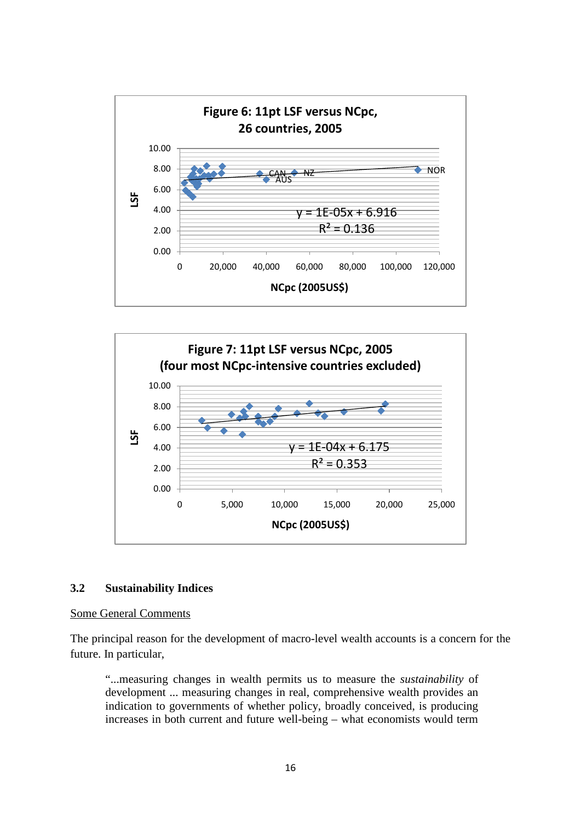



#### **3.2 Sustainability Indices**

#### Some General Comments

The principal reason for the development of macro-level wealth accounts is a concern for the future. In particular,

"...measuring changes in wealth permits us to measure the *sustainability* of development ... measuring changes in real, comprehensive wealth provides an indication to governments of whether policy, broadly conceived, is producing increases in both current and future well-being – what economists would term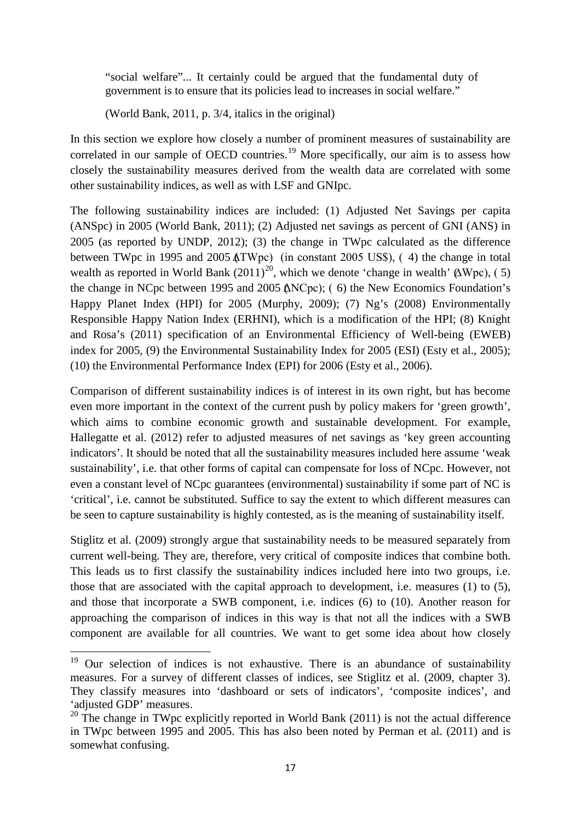"social welfare"... It certainly could be argued that the fundamental duty of government is to ensure that its policies lead to increases in social welfare."

(World Bank, 2011, p. 3/4, italics in the original)

In this section we explore how closely a number of prominent measures of sustainability are correlated in our sample of OECD countries.<sup>[19](#page-16-0)</sup> More specifically, our aim is to assess how closely the sustainability measures derived from the wealth data are correlated with some other sustainability indices, as well as with LSF and GNIpc.

The following sustainability indices are included: (1) Adjusted Net Savings per capita (ANSpc) in 2005 (World Bank, 2011); (2) Adjusted net savings as percent of GNI (ANS) in 2005 (as reported by UNDP, 2012); (3) the change in TWpc calculated as the difference between TWpc in 1995 and 2005  $\angle$  at TWpc) (in constant 2005 US\$), (4) the change in total wealth as reported in World Bank  $(2011)^{20}$  $(2011)^{20}$  $(2011)^{20}$ , which we denote 'change in wealth'  $(\Delta Wpc)$ , (5) the change in NCpc between 1995 and 2005 (∆NCpc); (6) the New Economics Foundation's Happy Planet Index (HPI) for 2005 (Murphy, 2009); (7) Ng's (2008) Environmentally Responsible Happy Nation Index (ERHNI), which is a modification of the HPI; (8) Knight and Rosa's (2011) specification of an Environmental Efficiency of Well-being (EWEB) index for 2005, (9) the Environmental Sustainability Index for 2005 (ESI) (Esty et al., 2005); (10) the Environmental Performance Index (EPI) for 2006 (Esty et al., 2006).

Comparison of different sustainability indices is of interest in its own right, but has become even more important in the context of the current push by policy makers for 'green growth', which aims to combine economic growth and sustainable development. For example, Hallegatte et al. (2012) refer to adjusted measures of net savings as 'key green accounting indicators'. It should be noted that all the sustainability measures included here assume 'weak sustainability', i.e. that other forms of capital can compensate for loss of NCpc. However, not even a constant level of NCpc guarantees (environmental) sustainability if some part of NC is 'critical', i.e. cannot be substituted. Suffice to say the extent to which different measures can be seen to capture sustainability is highly contested, as is the meaning of sustainability itself.

Stiglitz et al. (2009) strongly argue that sustainability needs to be measured separately from current well-being. They are, therefore, very critical of composite indices that combine both. This leads us to first classify the sustainability indices included here into two groups, i.e. those that are associated with the capital approach to development, i.e. measures (1) to (5), and those that incorporate a SWB component, i.e. indices (6) to (10). Another reason for approaching the comparison of indices in this way is that not all the indices with a SWB component are available for all countries. We want to get some idea about how closely

<span id="page-16-0"></span><sup>&</sup>lt;sup>19</sup> Our selection of indices is not exhaustive. There is an abundance of sustainability measures. For a survey of different classes of indices, see Stiglitz et al. (2009, chapter 3). They classify measures into 'dashboard or sets of indicators', 'composite indices', and 'adjusted GDP' measures.

<span id="page-16-1"></span><sup>&</sup>lt;sup>20</sup> The change in TWpc explicitly reported in World Bank (2011) is not the actual difference in TWpc between 1995 and 2005. This has also been noted by Perman et al. (2011) and is somewhat confusing.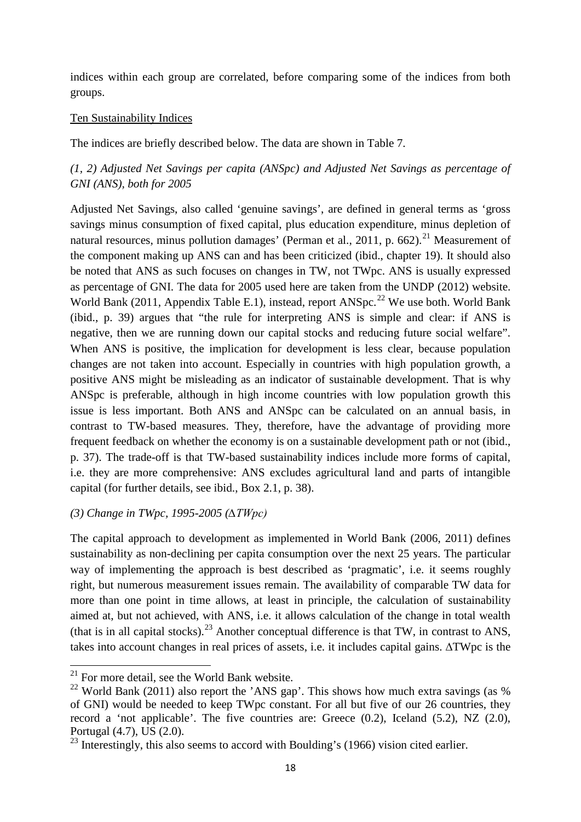indices within each group are correlated, before comparing some of the indices from both groups.

### Ten Sustainability Indices

The indices are briefly described below. The data are shown in Table 7.

# *(1, 2) Adjusted Net Savings per capita (ANSpc) and Adjusted Net Savings as percentage of GNI (ANS), both for 2005*

Adjusted Net Savings, also called 'genuine savings', are defined in general terms as 'gross savings minus consumption of fixed capital, plus education expenditure, minus depletion of natural resources, minus pollution damages' (Perman et al., 2011, p. 662).<sup>[21](#page-17-0)</sup> Measurement of the component making up ANS can and has been criticized (ibid., chapter 19). It should also be noted that ANS as such focuses on changes in TW, not TWpc. ANS is usually expressed as percentage of GNI. The data for 2005 used here are taken from the UNDP (2012) website. World Bank (2011, Appendix Table E.1), instead, report ANSpc.<sup>[22](#page-17-1)</sup> We use both. World Bank (ibid., p. 39) argues that "the rule for interpreting ANS is simple and clear: if ANS is negative, then we are running down our capital stocks and reducing future social welfare". When ANS is positive, the implication for development is less clear, because population changes are not taken into account. Especially in countries with high population growth, a positive ANS might be misleading as an indicator of sustainable development. That is why ANSpc is preferable, although in high income countries with low population growth this issue is less important. Both ANS and ANSpc can be calculated on an annual basis, in contrast to TW-based measures. They, therefore, have the advantage of providing more frequent feedback on whether the economy is on a sustainable development path or not (ibid., p. 37). The trade-off is that TW-based sustainability indices include more forms of capital, i.e. they are more comprehensive: ANS excludes agricultural land and parts of intangible capital (for further details, see ibid., Box 2.1, p. 38).

# *(3) Change in TWpc, 1995-2005 (∆TWpc)*

The capital approach to development as implemented in World Bank (2006, 2011) defines sustainability as non-declining per capita consumption over the next 25 years. The particular way of implementing the approach is best described as 'pragmatic', i.e. it seems roughly right, but numerous measurement issues remain. The availability of comparable TW data for more than one point in time allows, at least in principle, the calculation of sustainability aimed at, but not achieved, with ANS, i.e. it allows calculation of the change in total wealth (that is in all capital stocks).<sup>[23](#page-17-2)</sup> Another conceptual difference is that TW, in contrast to ANS, takes into account changes in real prices of assets, i.e. it includes capital gains. ∆TWpc is the

<span id="page-17-0"></span><sup>&</sup>lt;sup>21</sup> For more detail, see the World Bank website.

<span id="page-17-1"></span><sup>&</sup>lt;sup>22</sup> World Bank (2011) also report the 'ANS gap'. This shows how much extra savings (as %) of GNI) would be needed to keep TWpc constant. For all but five of our 26 countries, they record a 'not applicable'. The five countries are: Greece (0.2), Iceland (5.2), NZ (2.0), Portugal (4.7), US (2.0).

<span id="page-17-2"></span> $^{23}$  Interestingly, this also seems to accord with Boulding's (1966) vision cited earlier.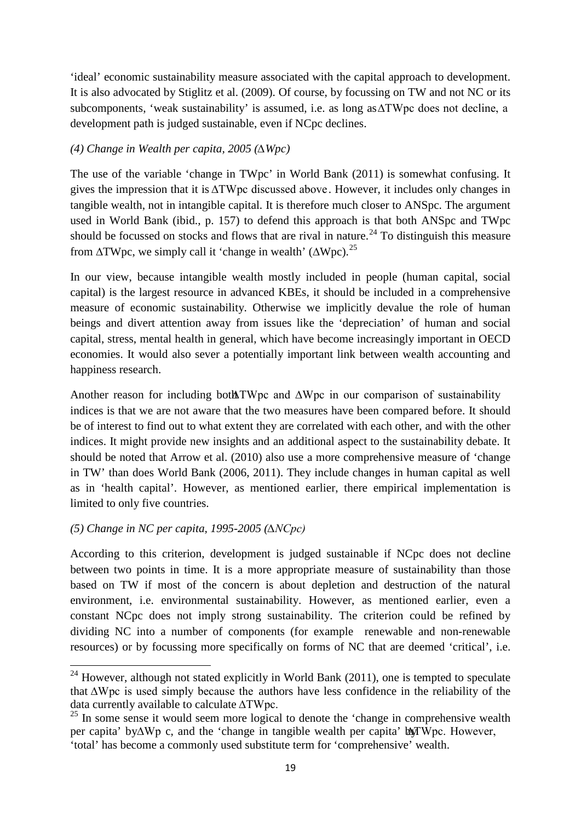'ideal' economic sustainability measure associated with the capital approach to development. It is also advocated by Stiglitz et al. (2009). Of course, by focussing on TW and not NC or its subcomponents, 'weak sustainability' is assumed, i.e. as long as ∆TWpc does not decline, a development path is judged sustainable, even if NCpc declines.

# *(4) Change in Wealth per capita, 2005 (∆Wpc)*

The use of the variable 'change in TWpc' in World Bank (2011) is somewhat confusing. It gives the impression that it is ∆TWpc discussed above. However, it includes only changes in tangible wealth, not in intangible capital. It is therefore much closer to ANSpc. The argument used in World Bank (ibid., p. 157) to defend this approach is that both ANSpc and TWpc should be focussed on stocks and flows that are rival in nature.<sup>[24](#page-18-0)</sup> To distinguish this measure from  $\Delta T Wpc$ , we simply call it 'change in wealth' ( $\Delta Wpc$ ).<sup>[25](#page-18-1)</sup>

In our view, because intangible wealth mostly included in people (human capital, social capital) is the largest resource in advanced KBEs, it should be included in a comprehensive measure of economic sustainability. Otherwise we implicitly devalue the role of human beings and divert attention away from issues like the 'depreciation' of human and social capital, stress, mental health in general, which have become increasingly important in OECD economies. It would also sever a potentially important link between wealth accounting and happiness research.

Another reason for including both ∆TWpc and  $\Delta Wpc$  in our comparison of sustainability indices is that we are not aware that the two measures have been compared before. It should be of interest to find out to what extent they are correlated with each other, and with the other indices. It might provide new insights and an additional aspect to the sustainability debate. It should be noted that Arrow et al. (2010) also use a more comprehensive measure of 'change in TW' than does World Bank (2006, 2011). They include changes in human capital as well as in 'health capital'. However, as mentioned earlier, there empirical implementation is limited to only five countries.

# *(5) Change in NC per capita, 1995-2005 (∆NCpc)*

According to this criterion, development is judged sustainable if NCpc does not decline between two points in time. It is a more appropriate measure of sustainability than those based on TW if most of the concern is about depletion and destruction of the natural environment, i.e. environmental sustainability. However, as mentioned earlier, even a constant NCpc does not imply strong sustainability. The criterion could be refined by dividing NC into a number of components (for example renewable and non-renewable resources) or by focussing more specifically on forms of NC that are deemed 'critical', i.e.

<span id="page-18-0"></span> $24$  However, although not stated explicitly in World Bank (2011), one is tempted to speculate that ∆Wpc is used simply because the authors have less confidence in the reliability of the data currently available to calculate ∆TWpc.

<span id="page-18-1"></span><sup>&</sup>lt;sup>25</sup> In some sense it would seem more logical to denote the 'change in comprehensive wealth per capita' by∆Wp c, and the 'change in tangible wealth per capita' box Wpc. However, 'total' has become a commonly used substitute term for 'comprehensive' wealth.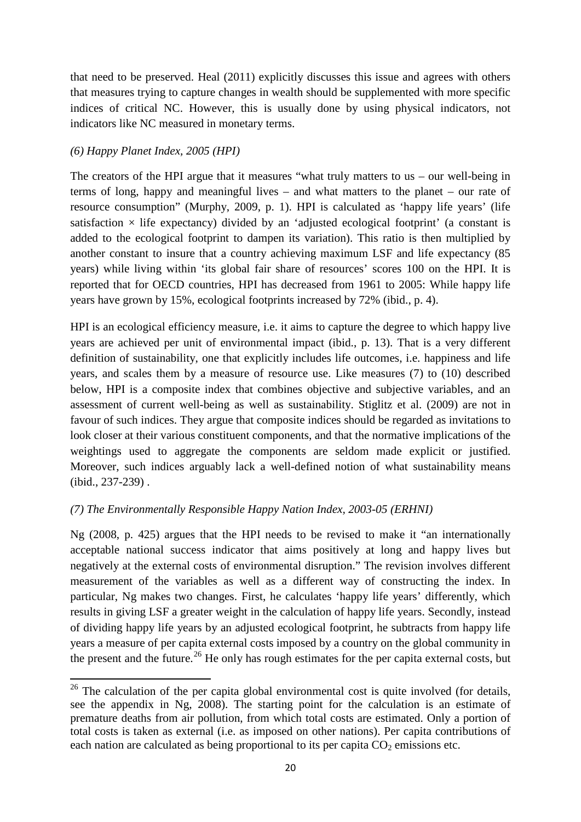that need to be preserved. Heal (2011) explicitly discusses this issue and agrees with others that measures trying to capture changes in wealth should be supplemented with more specific indices of critical NC. However, this is usually done by using physical indicators, not indicators like NC measured in monetary terms.

# *(6) Happy Planet Index, 2005 (HPI)*

The creators of the HPI argue that it measures "what truly matters to us – our well-being in terms of long, happy and meaningful lives – and what matters to the planet – our rate of resource consumption" (Murphy, 2009, p. 1). HPI is calculated as 'happy life years' (life satisfaction  $\times$  life expectancy) divided by an 'adjusted ecological footprint' (a constant is added to the ecological footprint to dampen its variation). This ratio is then multiplied by another constant to insure that a country achieving maximum LSF and life expectancy (85 years) while living within 'its global fair share of resources' scores 100 on the HPI. It is reported that for OECD countries, HPI has decreased from 1961 to 2005: While happy life years have grown by 15%, ecological footprints increased by 72% (ibid., p. 4).

HPI is an ecological efficiency measure, i.e. it aims to capture the degree to which happy live years are achieved per unit of environmental impact (ibid., p. 13). That is a very different definition of sustainability, one that explicitly includes life outcomes, i.e. happiness and life years, and scales them by a measure of resource use. Like measures (7) to (10) described below, HPI is a composite index that combines objective and subjective variables, and an assessment of current well-being as well as sustainability. Stiglitz et al. (2009) are not in favour of such indices. They argue that composite indices should be regarded as invitations to look closer at their various constituent components, and that the normative implications of the weightings used to aggregate the components are seldom made explicit or justified. Moreover, such indices arguably lack a well-defined notion of what sustainability means (ibid., 237-239) .

# *(7) The Environmentally Responsible Happy Nation Index, 2003-05 (ERHNI)*

Ng (2008, p. 425) argues that the HPI needs to be revised to make it "an internationally acceptable national success indicator that aims positively at long and happy lives but negatively at the external costs of environmental disruption." The revision involves different measurement of the variables as well as a different way of constructing the index. In particular, Ng makes two changes. First, he calculates 'happy life years' differently, which results in giving LSF a greater weight in the calculation of happy life years. Secondly, instead of dividing happy life years by an adjusted ecological footprint, he subtracts from happy life years a measure of per capita external costs imposed by a country on the global community in the present and the future.<sup>[26](#page-19-0)</sup> He only has rough estimates for the per capita external costs, but

<span id="page-19-0"></span> $26$  The calculation of the per capita global environmental cost is quite involved (for details, see the appendix in Ng, 2008). The starting point for the calculation is an estimate of premature deaths from air pollution, from which total costs are estimated. Only a portion of total costs is taken as external (i.e. as imposed on other nations). Per capita contributions of each nation are calculated as being proportional to its per capita  $CO<sub>2</sub>$  emissions etc.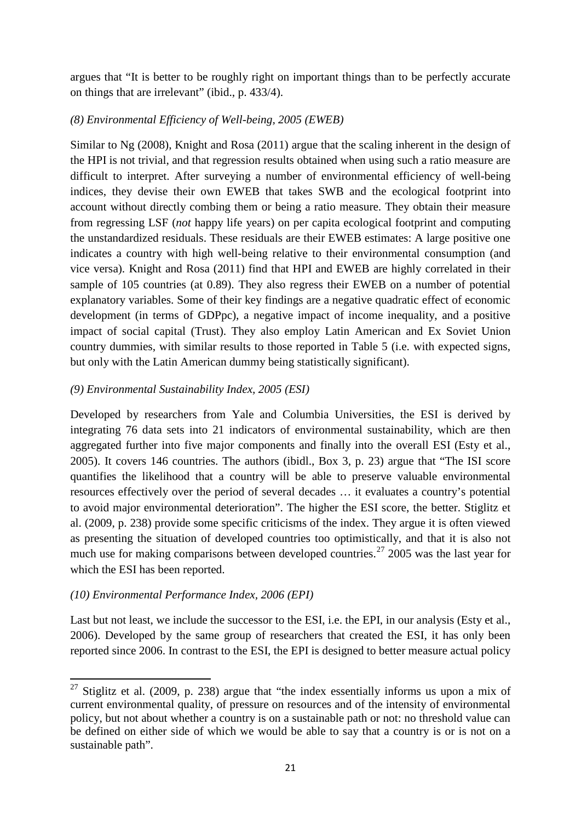argues that "It is better to be roughly right on important things than to be perfectly accurate on things that are irrelevant" (ibid., p. 433/4).

# *(8) Environmental Efficiency of Well-being, 2005 (EWEB)*

Similar to Ng (2008), Knight and Rosa (2011) argue that the scaling inherent in the design of the HPI is not trivial, and that regression results obtained when using such a ratio measure are difficult to interpret. After surveying a number of environmental efficiency of well-being indices, they devise their own EWEB that takes SWB and the ecological footprint into account without directly combing them or being a ratio measure. They obtain their measure from regressing LSF (*not* happy life years) on per capita ecological footprint and computing the unstandardized residuals. These residuals are their EWEB estimates: A large positive one indicates a country with high well-being relative to their environmental consumption (and vice versa). Knight and Rosa (2011) find that HPI and EWEB are highly correlated in their sample of 105 countries (at 0.89). They also regress their EWEB on a number of potential explanatory variables. Some of their key findings are a negative quadratic effect of economic development (in terms of GDPpc), a negative impact of income inequality, and a positive impact of social capital (Trust). They also employ Latin American and Ex Soviet Union country dummies, with similar results to those reported in Table 5 (i.e. with expected signs, but only with the Latin American dummy being statistically significant).

# *(9) Environmental Sustainability Index, 2005 (ESI)*

Developed by researchers from Yale and Columbia Universities, the ESI is derived by integrating 76 data sets into 21 indicators of environmental sustainability, which are then aggregated further into five major components and finally into the overall ESI (Esty et al., 2005). It covers 146 countries. The authors (ibidl., Box 3, p. 23) argue that "The ISI score quantifies the likelihood that a country will be able to preserve valuable environmental resources effectively over the period of several decades … it evaluates a country's potential to avoid major environmental deterioration". The higher the ESI score, the better. Stiglitz et al. (2009, p. 238) provide some specific criticisms of the index. They argue it is often viewed as presenting the situation of developed countries too optimistically, and that it is also not much use for making comparisons between developed countries.<sup>[27](#page-20-0)</sup> 2005 was the last year for which the ESI has been reported.

# *(10) Environmental Performance Index, 2006 (EPI)*

Last but not least, we include the successor to the ESI, i.e. the EPI, in our analysis (Esty et al., 2006). Developed by the same group of researchers that created the ESI, it has only been reported since 2006. In contrast to the ESI, the EPI is designed to better measure actual policy

<span id="page-20-0"></span> $27$  Stiglitz et al. (2009, p. 238) argue that "the index essentially informs us upon a mix of current environmental quality, of pressure on resources and of the intensity of environmental policy, but not about whether a country is on a sustainable path or not: no threshold value can be defined on either side of which we would be able to say that a country is or is not on a sustainable path".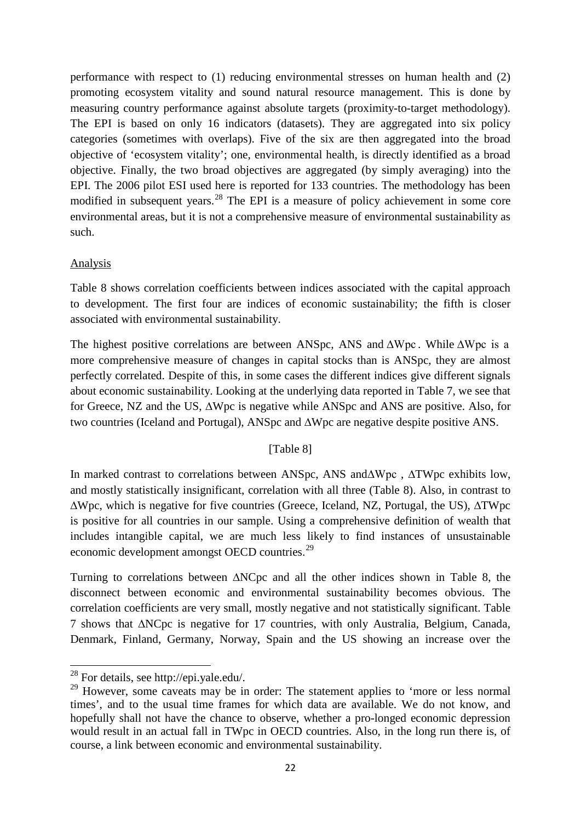performance with respect to (1) reducing environmental stresses on human health and (2) promoting ecosystem vitality and sound natural resource management. This is done by measuring country performance against absolute targets (proximity-to-target methodology). The EPI is based on only 16 indicators (datasets). They are aggregated into six policy categories (sometimes with overlaps). Five of the six are then aggregated into the broad objective of 'ecosystem vitality'; one, environmental health, is directly identified as a broad objective. Finally, the two broad objectives are aggregated (by simply averaging) into the EPI. The 2006 pilot ESI used here is reported for 133 countries. The methodology has been modified in subsequent years.<sup>[28](#page-21-0)</sup> The EPI is a measure of policy achievement in some core environmental areas, but it is not a comprehensive measure of environmental sustainability as such.

# Analysis

Table 8 shows correlation coefficients between indices associated with the capital approach to development. The first four are indices of economic sustainability; the fifth is closer associated with environmental sustainability.

The highest positive correlations are between ANSpc, ANS and ∆Wpc . While ∆Wpc is a more comprehensive measure of changes in capital stocks than is ANSpc, they are almost perfectly correlated. Despite of this, in some cases the different indices give different signals about economic sustainability. Looking at the underlying data reported in Table 7, we see that for Greece, NZ and the US, ∆Wpc is negative while ANSpc and ANS are positive. Also, for two countries (Iceland and Portugal), ANSpc and ∆Wpc are negative despite positive ANS.

# [Table 8]

In marked contrast to correlations between ANSpc, ANS and ∆Wpc , ∆TWpc exhibits low, and mostly statistically insignificant, correlation with all three (Table 8). Also, in contrast to ∆Wpc, which is negative for five countries (Greece, Iceland, NZ, Portugal, the US), ∆TWpc is positive for all countries in our sample. Using a comprehensive definition of wealth that includes intangible capital, we are much less likely to find instances of unsustainable economic development amongst OECD countries.<sup>[29](#page-21-1)</sup>

Turning to correlations between ∆NCpc and all the other indices shown in Table 8, the disconnect between economic and environmental sustainability becomes obvious. The correlation coefficients are very small, mostly negative and not statistically significant. Table 7 shows that ∆NCpc is negative for 17 countries, with only Australia, Belgium, Canada, Denmark, Finland, Germany, Norway, Spain and the US showing an increase over the

<span id="page-21-0"></span><sup>28</sup> For details, see http://epi.yale.edu/.

<span id="page-21-1"></span><sup>&</sup>lt;sup>29</sup> However, some caveats may be in order: The statement applies to 'more or less normal times', and to the usual time frames for which data are available. We do not know, and hopefully shall not have the chance to observe, whether a pro-longed economic depression would result in an actual fall in TWpc in OECD countries. Also, in the long run there is, of course, a link between economic and environmental sustainability.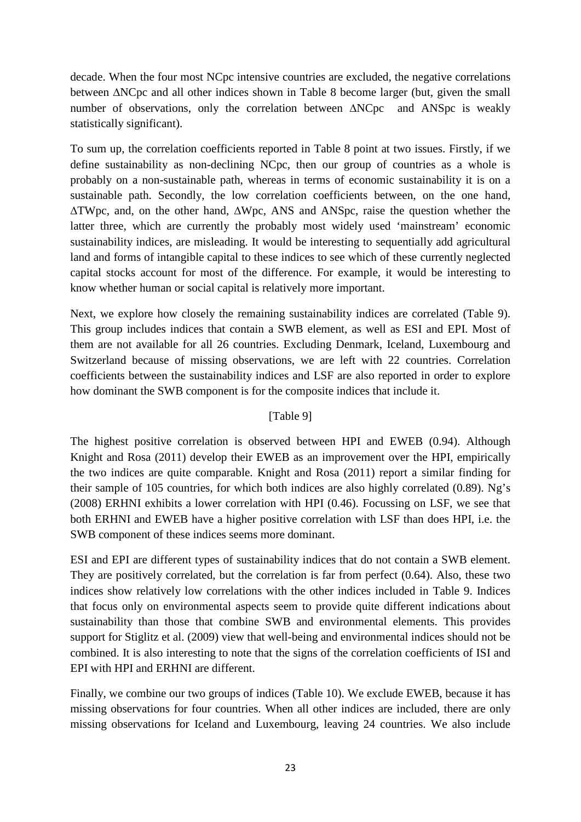decade. When the four most NCpc intensive countries are excluded, the negative correlations between ∆NCpc and all other indices shown in Table 8 become larger (but, given the small number of observations, only the correlation between ∆NCpc and ANSpc is weakly statistically significant).

To sum up, the correlation coefficients reported in Table 8 point at two issues. Firstly, if we define sustainability as non-declining NCpc, then our group of countries as a whole is probably on a non-sustainable path, whereas in terms of economic sustainability it is on a sustainable path. Secondly, the low correlation coefficients between, on the one hand, ∆TWpc, and, on the other hand, ∆Wpc, ANS and ANSpc, raise the question whether the latter three, which are currently the probably most widely used 'mainstream' economic sustainability indices, are misleading. It would be interesting to sequentially add agricultural land and forms of intangible capital to these indices to see which of these currently neglected capital stocks account for most of the difference. For example, it would be interesting to know whether human or social capital is relatively more important.

Next, we explore how closely the remaining sustainability indices are correlated (Table 9). This group includes indices that contain a SWB element, as well as ESI and EPI. Most of them are not available for all 26 countries. Excluding Denmark, Iceland, Luxembourg and Switzerland because of missing observations, we are left with 22 countries. Correlation coefficients between the sustainability indices and LSF are also reported in order to explore how dominant the SWB component is for the composite indices that include it.

# [Table 9]

The highest positive correlation is observed between HPI and EWEB (0.94). Although Knight and Rosa (2011) develop their EWEB as an improvement over the HPI, empirically the two indices are quite comparable. Knight and Rosa (2011) report a similar finding for their sample of 105 countries, for which both indices are also highly correlated (0.89). Ng's (2008) ERHNI exhibits a lower correlation with HPI (0.46). Focussing on LSF, we see that both ERHNI and EWEB have a higher positive correlation with LSF than does HPI, i.e. the SWB component of these indices seems more dominant.

ESI and EPI are different types of sustainability indices that do not contain a SWB element. They are positively correlated, but the correlation is far from perfect (0.64). Also, these two indices show relatively low correlations with the other indices included in Table 9. Indices that focus only on environmental aspects seem to provide quite different indications about sustainability than those that combine SWB and environmental elements. This provides support for Stiglitz et al. (2009) view that well-being and environmental indices should not be combined. It is also interesting to note that the signs of the correlation coefficients of ISI and EPI with HPI and ERHNI are different.

Finally, we combine our two groups of indices (Table 10). We exclude EWEB, because it has missing observations for four countries. When all other indices are included, there are only missing observations for Iceland and Luxembourg, leaving 24 countries. We also include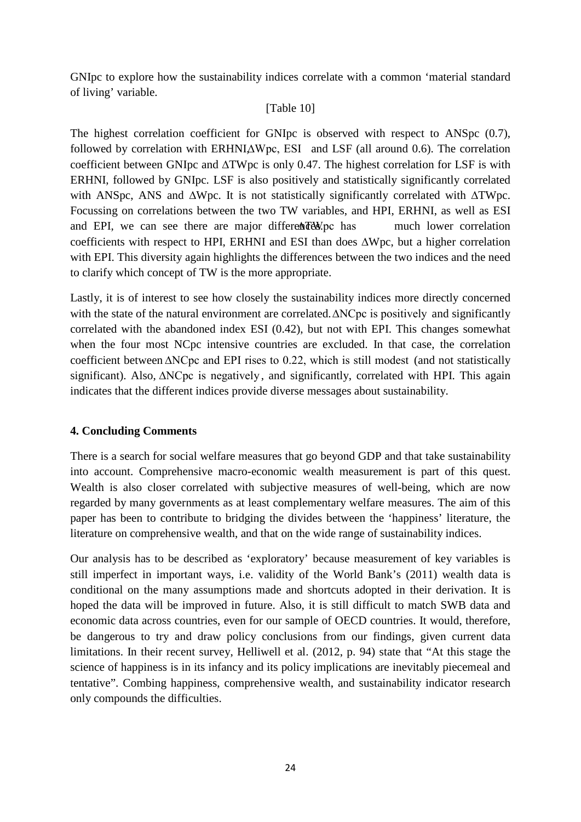GNIpc to explore how the sustainability indices correlate with a common 'material standard of living' variable.

# [Table 10]

The highest correlation coefficient for GNIpc is observed with respect to ANSpc (0.7), followed by correlation with ERHNI $\triangle$ Wpc, ESI and LSF (all around 0.6). The correlation coefficient between GNIpc and ∆TWpc is only 0.47. The highest correlation for LSF is with ERHNI, followed by GNIpc. LSF is also positively and statistically significantly correlated with ANSpc, ANS and ∆Wpc. It is not statistically significantly correlated with ∆TWpc. Focussing on correlations between the two TW variables, and HPI, ERHNI, as well as ESI and EPI, we can see there are major differente EU, has much lower correlation coefficients with respect to HPI, ERHNI and ESI than does ∆Wpc, but a higher correlation with EPI. This diversity again highlights the differences between the two indices and the need to clarify which concept of TW is the more appropriate.

Lastly, it is of interest to see how closely the sustainability indices more directly concerned with the state of the natural environment are correlated. ∆NCpc is positively and significantly correlated with the abandoned index ESI (0.42), but not with EPI. This changes somewhat when the four most NCpc intensive countries are excluded. In that case, the correlation coefficient between ∆NCpc and EPI rises to 0.22, which is still modest (and not statistically significant). Also, ∆NCpc is negatively, and significantly, correlated with HPI. This again indicates that the different indices provide diverse messages about sustainability.

# **4. Concluding Comments**

There is a search for social welfare measures that go beyond GDP and that take sustainability into account. Comprehensive macro-economic wealth measurement is part of this quest. Wealth is also closer correlated with subjective measures of well-being, which are now regarded by many governments as at least complementary welfare measures. The aim of this paper has been to contribute to bridging the divides between the 'happiness' literature, the literature on comprehensive wealth, and that on the wide range of sustainability indices.

Our analysis has to be described as 'exploratory' because measurement of key variables is still imperfect in important ways, i.e. validity of the World Bank's (2011) wealth data is conditional on the many assumptions made and shortcuts adopted in their derivation. It is hoped the data will be improved in future. Also, it is still difficult to match SWB data and economic data across countries, even for our sample of OECD countries. It would, therefore, be dangerous to try and draw policy conclusions from our findings, given current data limitations. In their recent survey, Helliwell et al. (2012, p. 94) state that "At this stage the science of happiness is in its infancy and its policy implications are inevitably piecemeal and tentative". Combing happiness, comprehensive wealth, and sustainability indicator research only compounds the difficulties.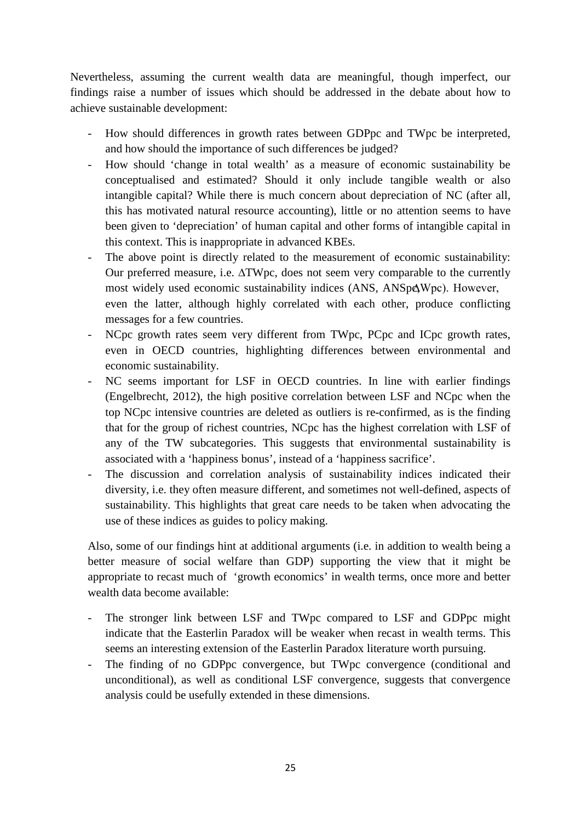Nevertheless, assuming the current wealth data are meaningful, though imperfect, our findings raise a number of issues which should be addressed in the debate about how to achieve sustainable development:

- How should differences in growth rates between GDPpc and TWpc be interpreted, and how should the importance of such differences be judged?
- How should 'change in total wealth' as a measure of economic sustainability be conceptualised and estimated? Should it only include tangible wealth or also intangible capital? While there is much concern about depreciation of NC (after all, this has motivated natural resource accounting), little or no attention seems to have been given to 'depreciation' of human capital and other forms of intangible capital in this context. This is inappropriate in advanced KBEs.
- The above point is directly related to the measurement of economic sustainability: Our preferred measure, i.e. ∆TWpc, does not seem very comparable to the currently most widely used economic sustainability indices (ANS, ANSp∆Wpc). However, even the latter, although highly correlated with each other, produce conflicting messages for a few countries.
- NCpc growth rates seem very different from TWpc, PCpc and ICpc growth rates, even in OECD countries, highlighting differences between environmental and economic sustainability.
- NC seems important for LSF in OECD countries. In line with earlier findings (Engelbrecht, 2012), the high positive correlation between LSF and NCpc when the top NCpc intensive countries are deleted as outliers is re-confirmed, as is the finding that for the group of richest countries, NCpc has the highest correlation with LSF of any of the TW subcategories. This suggests that environmental sustainability is associated with a 'happiness bonus', instead of a 'happiness sacrifice'.
- The discussion and correlation analysis of sustainability indices indicated their diversity, i.e. they often measure different, and sometimes not well-defined, aspects of sustainability. This highlights that great care needs to be taken when advocating the use of these indices as guides to policy making.

Also, some of our findings hint at additional arguments (i.e. in addition to wealth being a better measure of social welfare than GDP) supporting the view that it might be appropriate to recast much of 'growth economics' in wealth terms, once more and better wealth data become available:

- The stronger link between LSF and TWpc compared to LSF and GDPpc might indicate that the Easterlin Paradox will be weaker when recast in wealth terms. This seems an interesting extension of the Easterlin Paradox literature worth pursuing.
- The finding of no GDPpc convergence, but TWpc convergence (conditional and unconditional), as well as conditional LSF convergence, suggests that convergence analysis could be usefully extended in these dimensions.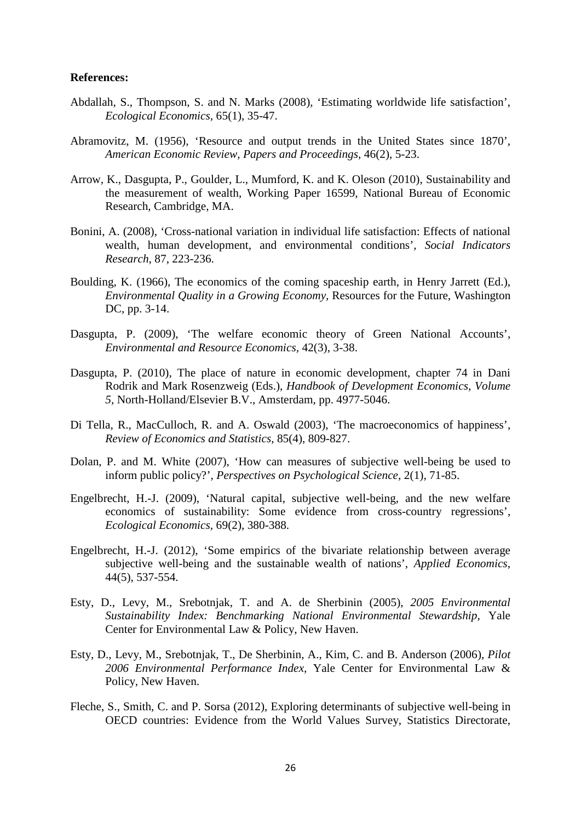#### **References:**

- Abdallah, S., Thompson, S. and N. Marks (2008), 'Estimating worldwide life satisfaction', *Ecological Economics,* 65(1), 35-47.
- Abramovitz, M. (1956), 'Resource and output trends in the United States since 1870', *American Economic Review, Papers and Proceedings,* 46(2), 5-23.
- Arrow, K., Dasgupta, P., Goulder, L., Mumford, K. and K. Oleson (2010), Sustainability and the measurement of wealth, Working Paper 16599, National Bureau of Economic Research, Cambridge, MA.
- Bonini, A. (2008), 'Cross-national variation in individual life satisfaction: Effects of national wealth, human development, and environmental conditions', *Social Indicators Research,* 87, 223-236.
- Boulding, K. (1966), The economics of the coming spaceship earth, in Henry Jarrett (Ed.), *Environmental Quality in a Growing Economy,* Resources for the Future, Washington DC, pp. 3-14.
- Dasgupta, P. (2009), 'The welfare economic theory of Green National Accounts', *Environmental and Resource Economics,* 42(3), 3-38.
- Dasgupta, P. (2010), The place of nature in economic development, chapter 74 in Dani Rodrik and Mark Rosenzweig (Eds.), *Handbook of Development Economics, Volume 5,* North-Holland/Elsevier B.V., Amsterdam, pp. 4977-5046.
- Di Tella, R., MacCulloch, R. and A. Oswald (2003), 'The macroeconomics of happiness', *Review of Economics and Statistics,* 85(4), 809-827.
- Dolan, P. and M. White (2007), 'How can measures of subjective well-being be used to inform public policy?', *Perspectives on Psychological Science,* 2(1), 71-85.
- Engelbrecht, H.-J. (2009), 'Natural capital, subjective well-being, and the new welfare economics of sustainability: Some evidence from cross-country regressions', *Ecological Economics,* 69(2), 380-388.
- Engelbrecht, H.-J. (2012), 'Some empirics of the bivariate relationship between average subjective well-being and the sustainable wealth of nations', *Applied Economics*, 44(5), 537-554.
- Esty, D., Levy, M., Srebotnjak, T. and A. de Sherbinin (2005), *2005 Environmental Sustainability Index: Benchmarking National Environmental Stewardship,* Yale Center for Environmental Law & Policy, New Haven.
- Esty, D., Levy, M., Srebotnjak, T., De Sherbinin, A., Kim, C. and B. Anderson (2006), *Pilot 2006 Environmental Performance Index,* Yale Center for Environmental Law & Policy, New Haven.
- Fleche, S., Smith, C. and P. Sorsa (2012), Exploring determinants of subjective well-being in OECD countries: Evidence from the World Values Survey, Statistics Directorate,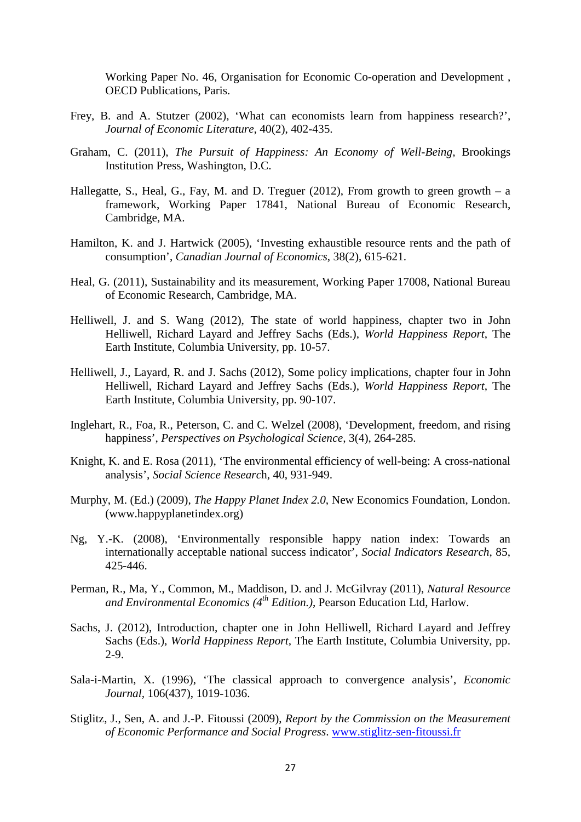Working Paper No. 46, Organisation for Economic Co-operation and Development , OECD Publications, Paris.

- Frey, B. and A. Stutzer (2002), 'What can economists learn from happiness research?', *Journal of Economic Literature,* 40(2), 402-435.
- Graham, C. (2011), *The Pursuit of Happiness: An Economy of Well-Being,* Brookings Institution Press, Washington, D.C.
- Hallegatte, S., Heal, G., Fay, M. and D. Treguer  $(2012)$ , From growth to green growth a framework, Working Paper 17841, National Bureau of Economic Research, Cambridge, MA.
- Hamilton, K. and J. Hartwick (2005), 'Investing exhaustible resource rents and the path of consumption', *Canadian Journal of Economics*, 38(2), 615-621.
- Heal, G. (2011), Sustainability and its measurement, Working Paper 17008, National Bureau of Economic Research, Cambridge, MA.
- Helliwell, J. and S. Wang (2012), The state of world happiness, chapter two in John Helliwell, Richard Layard and Jeffrey Sachs (Eds.), *World Happiness Report*, The Earth Institute, Columbia University, pp. 10-57.
- Helliwell, J., Layard, R. and J. Sachs (2012), Some policy implications, chapter four in John Helliwell, Richard Layard and Jeffrey Sachs (Eds.), *World Happiness Report*, The Earth Institute, Columbia University, pp. 90-107.
- Inglehart, R., Foa, R., Peterson, C. and C. Welzel (2008), 'Development, freedom, and rising happiness', *Perspectives on Psychological Science,* 3(4), 264-285.
- Knight, K. and E. Rosa (2011), 'The environmental efficiency of well-being: A cross-national analysis', *Social Science Researc*h, 40, 931-949.
- Murphy, M. (Ed.) (2009), *The Happy Planet Index 2.0*, New Economics Foundation, London. (www.happyplanetindex.org)
- Ng, Y.-K. (2008), 'Environmentally responsible happy nation index: Towards an internationally acceptable national success indicator', *Social Indicators Research*, 85, 425-446.
- Perman, R., Ma, Y., Common, M., Maddison, D. and J. McGilvray (2011), *Natural Resource and Environmental Economics (4th Edition.)*, Pearson Education Ltd, Harlow.
- Sachs, J. (2012), Introduction, chapter one in John Helliwell, Richard Layard and Jeffrey Sachs (Eds.), *World Happiness Report,* The Earth Institute, Columbia University, pp. 2-9.
- Sala-i-Martin, X. (1996), 'The classical approach to convergence analysis', *Economic Journal,* 106(437), 1019-1036.
- Stiglitz, J., Sen, A. and J.-P. Fitoussi (2009), *Report by the Commission on the Measurement of Economic Performance and Social Progress*. [www.stiglitz-sen-fitoussi.fr](http://www.stiglitz-sen-fitoussi.fr/)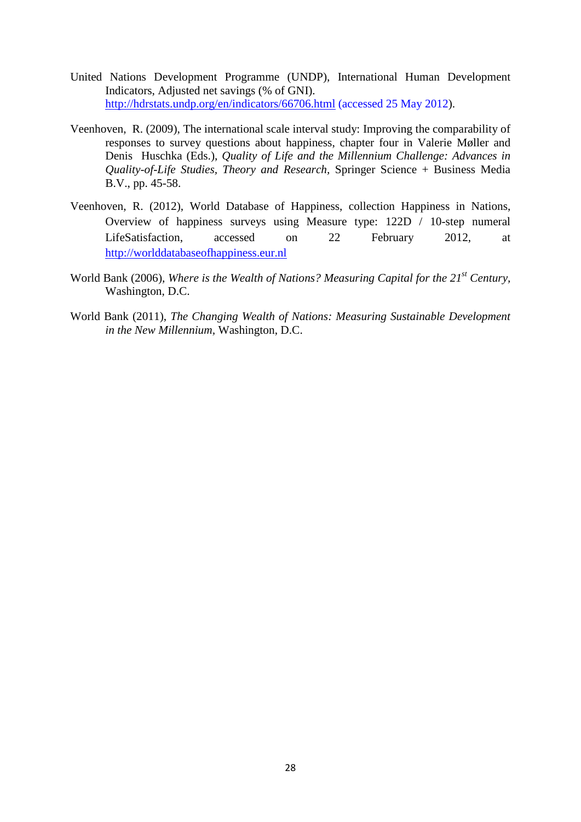- United Nations Development Programme (UNDP), International Human Development Indicators, Adjusted net savings (% of GNI). [http://hdrstats.undp.org/en/indicators/66706.html](http://hdrstats.undp.org/en/indicators/66706.html%20(accessed%2025%20May%202012) (accessed 25 May 2012).
- Veenhoven, R. (2009), The international scale interval study: Improving the comparability of responses to survey questions about happiness, chapter four in Valerie Møller and Denis Huschka (Eds.), *Quality of Life and the Millennium Challenge: Advances in Quality-of-Life Studies, Theory and Research,* Springer Science + Business Media B.V., pp. 45-58.
- Veenhoven, R. (2012), World Database of Happiness, collection Happiness in Nations, Overview of happiness surveys using Measure type: 122D / 10-step numeral LifeSatisfaction, accessed on 22 February 2012, at [http://worlddatabaseofhappiness.eur.nl](http://worlddatabaseofhappiness.eur.nl/)
- World Bank (2006), *Where is the Wealth of Nations? Measuring Capital for the 21st Century,* Washington, D.C.
- World Bank (2011), *The Changing Wealth of Nations: Measuring Sustainable Development in the New Millennium,* Washington, D.C.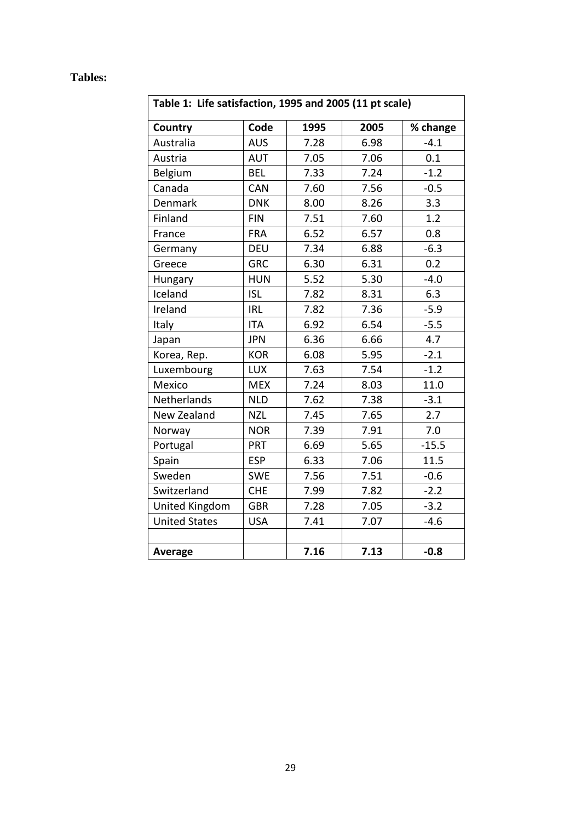# **Tables:**

| Table 1: Life satisfaction, 1995 and 2005 (11 pt scale) |            |      |      |          |  |  |  |  |  |
|---------------------------------------------------------|------------|------|------|----------|--|--|--|--|--|
| Country                                                 | Code       | 1995 | 2005 | % change |  |  |  |  |  |
| Australia                                               | <b>AUS</b> | 7.28 | 6.98 | $-4.1$   |  |  |  |  |  |
| Austria                                                 | <b>AUT</b> | 7.05 | 7.06 | 0.1      |  |  |  |  |  |
| Belgium                                                 | <b>BEL</b> | 7.33 | 7.24 | $-1.2$   |  |  |  |  |  |
| Canada                                                  | <b>CAN</b> | 7.60 | 7.56 | $-0.5$   |  |  |  |  |  |
| Denmark                                                 | <b>DNK</b> | 8.00 | 8.26 | 3.3      |  |  |  |  |  |
| Finland                                                 | <b>FIN</b> | 7.51 | 7.60 | 1.2      |  |  |  |  |  |
| France                                                  | <b>FRA</b> | 6.52 | 6.57 | 0.8      |  |  |  |  |  |
| Germany                                                 | <b>DEU</b> | 7.34 | 6.88 | $-6.3$   |  |  |  |  |  |
| Greece                                                  | <b>GRC</b> | 6.30 | 6.31 | 0.2      |  |  |  |  |  |
| Hungary                                                 | <b>HUN</b> | 5.52 | 5.30 | $-4.0$   |  |  |  |  |  |
| Iceland                                                 | <b>ISL</b> | 7.82 | 8.31 | 6.3      |  |  |  |  |  |
| Ireland                                                 | <b>IRL</b> | 7.82 | 7.36 | $-5.9$   |  |  |  |  |  |
| Italy                                                   | <b>ITA</b> | 6.92 | 6.54 | $-5.5$   |  |  |  |  |  |
| Japan                                                   | <b>JPN</b> | 6.36 | 6.66 | 4.7      |  |  |  |  |  |
| Korea, Rep.                                             | <b>KOR</b> | 6.08 | 5.95 | $-2.1$   |  |  |  |  |  |
| Luxembourg                                              | <b>LUX</b> | 7.63 | 7.54 | $-1.2$   |  |  |  |  |  |
| Mexico                                                  | <b>MEX</b> | 7.24 | 8.03 | 11.0     |  |  |  |  |  |
| Netherlands                                             | <b>NLD</b> | 7.62 | 7.38 | $-3.1$   |  |  |  |  |  |
| New Zealand                                             | <b>NZL</b> | 7.45 | 7.65 | 2.7      |  |  |  |  |  |
| Norway                                                  | <b>NOR</b> | 7.39 | 7.91 | 7.0      |  |  |  |  |  |
| Portugal                                                | PRT        | 6.69 | 5.65 | $-15.5$  |  |  |  |  |  |
| Spain                                                   | <b>ESP</b> | 6.33 | 7.06 | 11.5     |  |  |  |  |  |
| Sweden                                                  | <b>SWE</b> | 7.56 | 7.51 | $-0.6$   |  |  |  |  |  |
| Switzerland                                             | <b>CHE</b> | 7.99 | 7.82 | $-2.2$   |  |  |  |  |  |
| United Kingdom                                          | <b>GBR</b> | 7.28 | 7.05 | $-3.2$   |  |  |  |  |  |
| <b>United States</b>                                    | <b>USA</b> | 7.41 | 7.07 | $-4.6$   |  |  |  |  |  |
|                                                         |            |      |      |          |  |  |  |  |  |
| Average                                                 |            | 7.16 | 7.13 | $-0.8$   |  |  |  |  |  |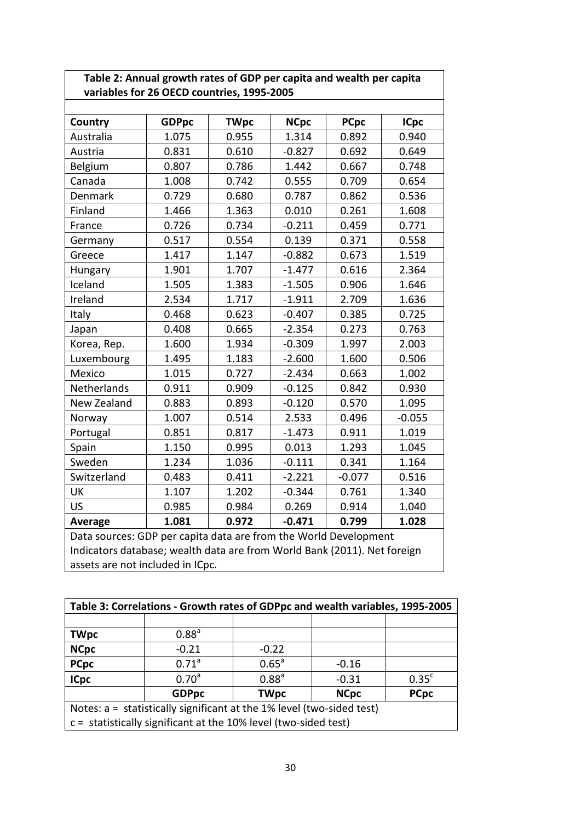| Table 2: Annual growth rates of GDP per capita and wealth per capita |
|----------------------------------------------------------------------|
| variables for 26 OECD countries, 1995-2005                           |

| Country     | <b>GDPpc</b>                                                                                                                                 | <b>TWpc</b> | <b>NCpc</b> | <b>PCpc</b> | <b>ICpc</b> |  |  |  |  |  |
|-------------|----------------------------------------------------------------------------------------------------------------------------------------------|-------------|-------------|-------------|-------------|--|--|--|--|--|
| Australia   | 1.075                                                                                                                                        | 0.955       | 1.314       | 0.892       | 0.940       |  |  |  |  |  |
| Austria     | 0.831                                                                                                                                        | 0.610       | $-0.827$    | 0.692       | 0.649       |  |  |  |  |  |
| Belgium     | 0.807                                                                                                                                        | 0.786       | 1.442       | 0.667       | 0.748       |  |  |  |  |  |
| Canada      | 1.008                                                                                                                                        | 0.742       | 0.555       | 0.709       | 0.654       |  |  |  |  |  |
| Denmark     | 0.729                                                                                                                                        | 0.680       | 0.787       | 0.862       | 0.536       |  |  |  |  |  |
| Finland     | 1.466                                                                                                                                        | 1.363       | 0.010       | 0.261       | 1.608       |  |  |  |  |  |
| France      | 0.726                                                                                                                                        | 0.734       | $-0.211$    | 0.459       | 0.771       |  |  |  |  |  |
| Germany     | 0.517                                                                                                                                        | 0.554       | 0.139       | 0.371       | 0.558       |  |  |  |  |  |
| Greece      | 1.417                                                                                                                                        | 1.147       | $-0.882$    | 0.673       | 1.519       |  |  |  |  |  |
| Hungary     | 1.901                                                                                                                                        | 1.707       | $-1.477$    | 0.616       | 2.364       |  |  |  |  |  |
| Iceland     | 1.505                                                                                                                                        | 1.383       | $-1.505$    | 0.906       | 1.646       |  |  |  |  |  |
| Ireland     | 2.534                                                                                                                                        | 1.717       | $-1.911$    | 2.709       | 1.636       |  |  |  |  |  |
| Italy       | 0.468                                                                                                                                        | 0.623       | $-0.407$    | 0.385       | 0.725       |  |  |  |  |  |
| Japan       | 0.408                                                                                                                                        | 0.665       | $-2.354$    | 0.273       | 0.763       |  |  |  |  |  |
| Korea, Rep. | 1.600                                                                                                                                        | 1.934       | $-0.309$    | 1.997       | 2.003       |  |  |  |  |  |
| Luxembourg  | 1.495                                                                                                                                        | 1.183       | $-2.600$    | 1.600       | 0.506       |  |  |  |  |  |
| Mexico      | 1.015                                                                                                                                        | 0.727       | $-2.434$    | 0.663       | 1.002       |  |  |  |  |  |
| Netherlands | 0.911                                                                                                                                        | 0.909       | $-0.125$    | 0.842       | 0.930       |  |  |  |  |  |
| New Zealand | 0.883                                                                                                                                        | 0.893       | $-0.120$    | 0.570       | 1.095       |  |  |  |  |  |
| Norway      | 1.007                                                                                                                                        | 0.514       | 2.533       | 0.496       | $-0.055$    |  |  |  |  |  |
| Portugal    | 0.851                                                                                                                                        | 0.817       | $-1.473$    | 0.911       | 1.019       |  |  |  |  |  |
| Spain       | 1.150                                                                                                                                        | 0.995       | 0.013       | 1.293       | 1.045       |  |  |  |  |  |
| Sweden      | 1.234                                                                                                                                        | 1.036       | $-0.111$    | 0.341       | 1.164       |  |  |  |  |  |
| Switzerland | 0.483                                                                                                                                        | 0.411       | $-2.221$    | $-0.077$    | 0.516       |  |  |  |  |  |
| <b>UK</b>   | 1.107                                                                                                                                        | 1.202       | $-0.344$    | 0.761       | 1.340       |  |  |  |  |  |
| <b>US</b>   | 0.985                                                                                                                                        | 0.984       | 0.269       | 0.914       | 1.040       |  |  |  |  |  |
| Average     | 1.081                                                                                                                                        | 0.972       | $-0.471$    | 0.799       | 1.028       |  |  |  |  |  |
|             | Data sources: GDP per capita data are from the World Development<br>Indicators database; wealth data are from World Bank (2011). Net foreign |             |             |             |             |  |  |  |  |  |

assets are not included in ICpc.

| Table 3: Correlations - Growth rates of GDPpc and wealth variables, 1995-2005 |                                                                   |                   |             |                   |  |  |  |  |  |
|-------------------------------------------------------------------------------|-------------------------------------------------------------------|-------------------|-------------|-------------------|--|--|--|--|--|
|                                                                               |                                                                   |                   |             |                   |  |  |  |  |  |
| <b>TWpc</b>                                                                   | 0.88 <sup>a</sup>                                                 |                   |             |                   |  |  |  |  |  |
| <b>NCpc</b>                                                                   | $-0.21$                                                           | $-0.22$           |             |                   |  |  |  |  |  |
| <b>PCpc</b>                                                                   | 0.71 <sup>a</sup>                                                 | $0.65^{\circ}$    | $-0.16$     |                   |  |  |  |  |  |
| <b>ICpc</b>                                                                   | 0.70 <sup>a</sup>                                                 | 0.88 <sup>a</sup> | $-0.31$     | 0.35 <sup>c</sup> |  |  |  |  |  |
|                                                                               | <b>GDPpc</b>                                                      | <b>TWpc</b>       | <b>NCpc</b> | <b>PCpc</b>       |  |  |  |  |  |
| Notes: $a =$ statistically significant at the 1% level (two-sided test)       |                                                                   |                   |             |                   |  |  |  |  |  |
|                                                                               | $c =$ statistically significant at the 10% level (two-sided test) |                   |             |                   |  |  |  |  |  |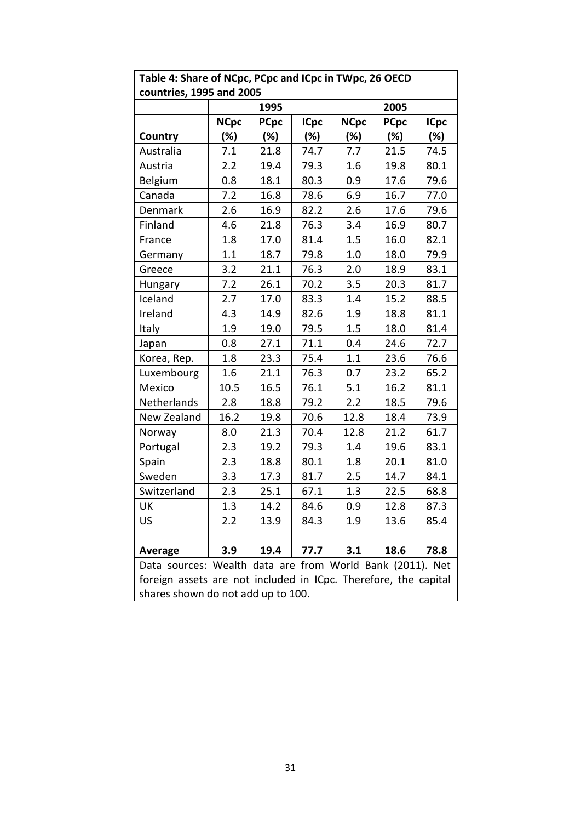| Table 4: Share of NCpc, PCpc and ICpc in TWpc, 26 OECD          |                                    |             |             |             |             |             |  |  |  |  |
|-----------------------------------------------------------------|------------------------------------|-------------|-------------|-------------|-------------|-------------|--|--|--|--|
| countries, 1995 and 2005                                        |                                    |             |             |             |             |             |  |  |  |  |
|                                                                 |                                    | 1995        |             |             | 2005        |             |  |  |  |  |
|                                                                 | <b>NCpc</b>                        | <b>PCpc</b> | <b>ICpc</b> | <b>NCpc</b> | <b>PCpc</b> | <b>ICpc</b> |  |  |  |  |
| Country                                                         | (%)                                | (%)         | (%)         | (%)         | (%)         | (%)         |  |  |  |  |
| Australia                                                       | 7.1                                | 21.8        | 74.7        | 7.7         | 21.5        | 74.5        |  |  |  |  |
| Austria                                                         | 2.2                                | 19.4        | 79.3        | 1.6         | 19.8        | 80.1        |  |  |  |  |
| Belgium                                                         | 0.8                                | 18.1        | 80.3        | 0.9         | 17.6        | 79.6        |  |  |  |  |
| Canada                                                          | 7.2                                | 16.8        | 78.6        | 6.9         | 16.7        | 77.0        |  |  |  |  |
| Denmark                                                         | 2.6                                | 16.9        | 82.2        | 2.6         | 17.6        | 79.6        |  |  |  |  |
| Finland                                                         | 4.6                                | 21.8        | 76.3        | 3.4         | 16.9        | 80.7        |  |  |  |  |
| France                                                          | 1.8                                | 17.0        | 81.4        | 1.5         | 16.0        | 82.1        |  |  |  |  |
| Germany                                                         | 1.1                                | 18.7        | 79.8        | 1.0         | 18.0        | 79.9        |  |  |  |  |
| Greece                                                          | 3.2                                | 21.1        | 76.3        | 2.0         | 18.9        | 83.1        |  |  |  |  |
| <b>Hungary</b>                                                  | 7.2                                | 26.1        | 70.2        | 3.5         | 20.3        | 81.7        |  |  |  |  |
| Iceland                                                         | 2.7                                | 17.0        | 83.3        | 1.4         | 15.2        | 88.5        |  |  |  |  |
| Ireland                                                         | 4.3                                | 14.9        | 82.6        | 1.9         | 18.8        | 81.1        |  |  |  |  |
| Italy                                                           | 1.9                                | 19.0        | 79.5        | 1.5         | 18.0        | 81.4        |  |  |  |  |
| Japan                                                           | 0.8                                | 27.1        | 71.1        | 0.4         | 24.6        | 72.7        |  |  |  |  |
| Korea, Rep.                                                     | 1.8                                | 23.3        | 75.4        | 1.1         | 23.6        | 76.6        |  |  |  |  |
| Luxembourg                                                      | 1.6                                | 21.1        | 76.3        | 0.7         | 23.2        | 65.2        |  |  |  |  |
| Mexico                                                          | 10.5                               | 16.5        | 76.1        | 5.1         | 16.2        | 81.1        |  |  |  |  |
| Netherlands                                                     | 2.8                                | 18.8        | 79.2        | 2.2         | 18.5        | 79.6        |  |  |  |  |
| New Zealand                                                     | 16.2                               | 19.8        | 70.6        | 12.8        | 18.4        | 73.9        |  |  |  |  |
| Norway                                                          | 8.0                                | 21.3        | 70.4        | 12.8        | 21.2        | 61.7        |  |  |  |  |
| Portugal                                                        | 2.3                                | 19.2        | 79.3        | 1.4         | 19.6        | 83.1        |  |  |  |  |
| Spain                                                           | 2.3                                | 18.8        | 80.1        | 1.8         | 20.1        | 81.0        |  |  |  |  |
| Sweden                                                          | 3.3                                | 17.3        | 81.7        | 2.5         | 14.7        | 84.1        |  |  |  |  |
| Switzerland                                                     | 2.3                                | 25.1        | 67.1        | 1.3         | 22.5        | 68.8        |  |  |  |  |
| UK                                                              | 1.3                                | 14.2        | 84.6        | 0.9         | 12.8        | 87.3        |  |  |  |  |
| US                                                              | 2.2                                | 13.9        | 84.3        | 1.9         | 13.6        | 85.4        |  |  |  |  |
|                                                                 |                                    |             |             |             |             |             |  |  |  |  |
| <b>Average</b>                                                  | 3.9                                | 19.4        | 77.7        | 3.1         | 18.6        | 78.8        |  |  |  |  |
| Data sources: Wealth data are from World Bank (2011). Net       |                                    |             |             |             |             |             |  |  |  |  |
| foreign assets are not included in ICpc. Therefore, the capital |                                    |             |             |             |             |             |  |  |  |  |
|                                                                 | shares shown do not add up to 100. |             |             |             |             |             |  |  |  |  |

# **Table 4: Share of NCpc, PCpc and ICpc in TWpc, 26 OECD**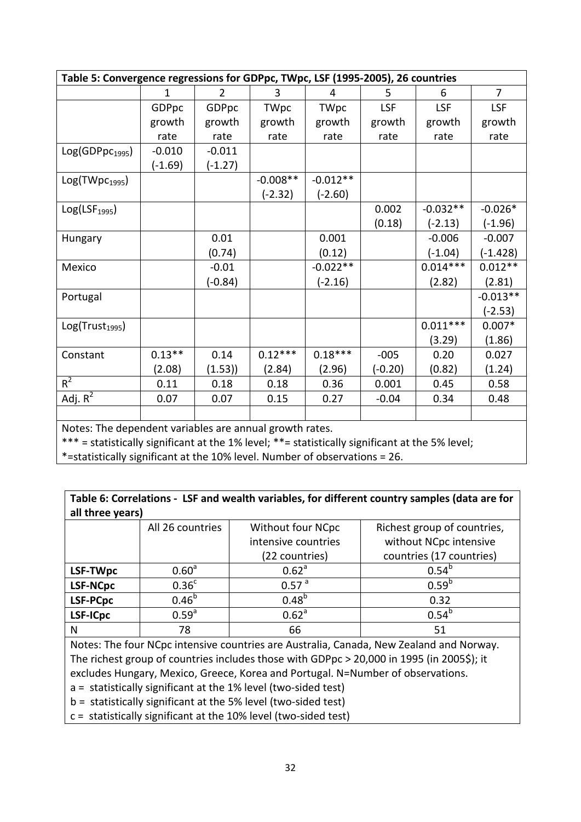| Table 5: Convergence regressions for GDPpc, TWpc, LSF (1995-2005), 26 countries |           |           |             |            |            |            |            |  |  |  |  |
|---------------------------------------------------------------------------------|-----------|-----------|-------------|------------|------------|------------|------------|--|--|--|--|
|                                                                                 | 1         | 2         | 3           | 4          | 5          | 6          | 7          |  |  |  |  |
|                                                                                 | GDPpc     | GDPpc     | <b>TWpc</b> | TWpc       | <b>LSF</b> | <b>LSF</b> | LSF        |  |  |  |  |
|                                                                                 | growth    | growth    | growth      | growth     | growth     | growth     | growth     |  |  |  |  |
|                                                                                 | rate      | rate      | rate        | rate       | rate       | rate       | rate       |  |  |  |  |
| Log(GDPpc <sub>1995</sub> )                                                     | $-0.010$  | $-0.011$  |             |            |            |            |            |  |  |  |  |
|                                                                                 | $(-1.69)$ | $(-1.27)$ |             |            |            |            |            |  |  |  |  |
| Log(TWpc <sub>1995</sub> )                                                      |           |           | $-0.008**$  | $-0.012**$ |            |            |            |  |  |  |  |
|                                                                                 |           |           | $(-2.32)$   | (-2.60)    |            |            |            |  |  |  |  |
| Log(LSF <sub>1995</sub> )                                                       |           |           |             |            | 0.002      | $-0.032**$ | $-0.026*$  |  |  |  |  |
|                                                                                 |           |           |             |            | (0.18)     | $(-2.13)$  | $(-1.96)$  |  |  |  |  |
| Hungary                                                                         |           | 0.01      |             | 0.001      |            | $-0.006$   | $-0.007$   |  |  |  |  |
|                                                                                 |           | (0.74)    |             | (0.12)     |            | $(-1.04)$  | $(-1.428)$ |  |  |  |  |
| Mexico                                                                          |           | $-0.01$   |             | $-0.022**$ |            | $0.014***$ | $0.012**$  |  |  |  |  |
|                                                                                 |           | (-0.84)   |             | (-2.16)    |            | (2.82)     | (2.81)     |  |  |  |  |
| Portugal                                                                        |           |           |             |            |            |            | $-0.013**$ |  |  |  |  |
|                                                                                 |           |           |             |            |            |            | $(-2.53)$  |  |  |  |  |
| Log(Trust <sub>1995</sub> )                                                     |           |           |             |            |            | $0.011***$ | $0.007*$   |  |  |  |  |
|                                                                                 |           |           |             |            |            | (3.29)     | (1.86)     |  |  |  |  |
| Constant                                                                        | $0.13**$  | 0.14      | $0.12***$   | $0.18***$  | $-005$     | 0.20       | 0.027      |  |  |  |  |
|                                                                                 | (2.08)    | (1.53)    | (2.84)      | (2.96)     | $(-0.20)$  | (0.82)     | (1.24)     |  |  |  |  |
| $R^2$                                                                           | 0.11      | 0.18      | 0.18        | 0.36       | 0.001      | 0.45       | 0.58       |  |  |  |  |
| Adj. $R^2$                                                                      | 0.07      | 0.07      | 0.15        | 0.27       | $-0.04$    | 0.34       | 0.48       |  |  |  |  |
|                                                                                 |           |           |             |            |            |            |            |  |  |  |  |

Notes: The dependent variables are annual growth rates.

\*\*\* = statistically significant at the 1% level; \*\*= statistically significant at the 5% level;

\*=statistically significant at the 10% level. Number of observations = 26.

**Table 6: Correlations - LSF and wealth variables, for different country samples (data are for all three years)**

|                 | All 26 countries  | Without four NCpc   | Richest group of countries, |
|-----------------|-------------------|---------------------|-----------------------------|
|                 |                   | intensive countries | without NCpc intensive      |
|                 |                   | (22 countries)      | countries (17 countries)    |
| LSF-TWpc        | 0.60 <sup>a</sup> | 0.62 <sup>a</sup>   | $0.54^{\circ}$              |
| <b>LSF-NCpc</b> | 0.36 <sup>c</sup> | 0.57 <sup>a</sup>   | $0.59^{b}$                  |
| LSF-PCpc        | $0.46^{b}$        | $0.48^{b}$          | 0.32                        |
| LSF-ICpc        | 0.59 <sup>a</sup> | 0.62 <sup>a</sup>   | $0.54^{b}$                  |
| N               | 78                | 66                  | 51                          |

Notes: The four NCpc intensive countries are Australia, Canada, New Zealand and Norway. The richest group of countries includes those with GDPpc > 20,000 in 1995 (in 2005\$); it excludes Hungary, Mexico, Greece, Korea and Portugal. N=Number of observations.

a = statistically significant at the 1% level (two-sided test)

b = statistically significant at the 5% level (two-sided test)

c = statistically significant at the 10% level (two-sided test)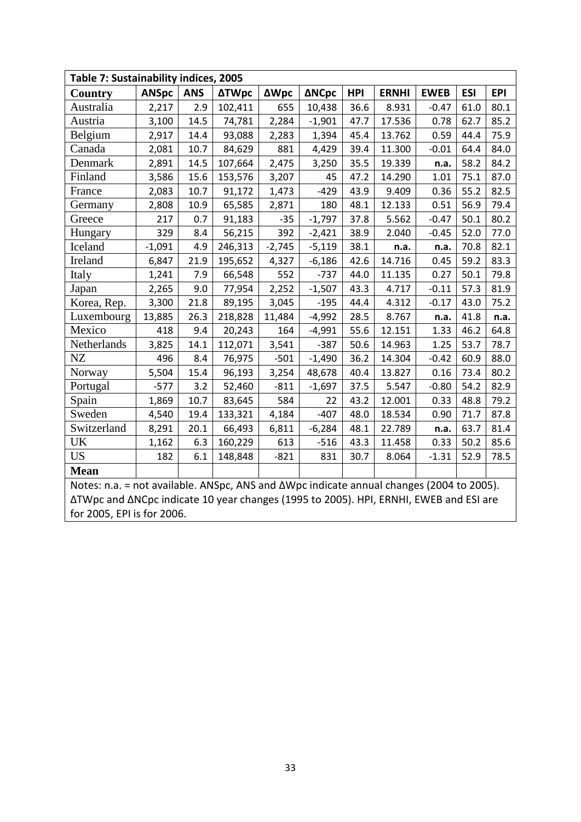| Table 7: Sustainability indices, 2005                                                    |              |            |              |             |              |            |              |             |            |            |  |
|------------------------------------------------------------------------------------------|--------------|------------|--------------|-------------|--------------|------------|--------------|-------------|------------|------------|--|
| <b>Country</b>                                                                           | <b>ANSpc</b> | <b>ANS</b> | <b>ΔTWpc</b> | <b>ΔWpc</b> | <b>ANCpc</b> | <b>HPI</b> | <b>ERNHI</b> | <b>EWEB</b> | <b>ESI</b> | <b>EPI</b> |  |
| Australia                                                                                | 2,217        | 2.9        | 102,411      | 655         | 10,438       | 36.6       | 8.931        | $-0.47$     | 61.0       | 80.1       |  |
| Austria                                                                                  | 3,100        | 14.5       | 74,781       | 2,284       | $-1,901$     | 47.7       | 17.536       | 0.78        | 62.7       | 85.2       |  |
| Belgium                                                                                  | 2,917        | 14.4       | 93,088       | 2,283       | 1,394        | 45.4       | 13.762       | 0.59        | 44.4       | 75.9       |  |
| Canada                                                                                   | 2,081        | 10.7       | 84,629       | 881         | 4,429        | 39.4       | 11.300       | $-0.01$     | 64.4       | 84.0       |  |
| Denmark                                                                                  | 2,891        | 14.5       | 107,664      | 2,475       | 3,250        | 35.5       | 19.339       | n.a.        | 58.2       | 84.2       |  |
| Finland                                                                                  | 3,586        | 15.6       | 153,576      | 3,207       | 45           | 47.2       | 14.290       | 1.01        | 75.1       | 87.0       |  |
| France                                                                                   | 2,083        | 10.7       | 91,172       | 1,473       | $-429$       | 43.9       | 9.409        | 0.36        | 55.2       | 82.5       |  |
| Germany                                                                                  | 2,808        | 10.9       | 65,585       | 2,871       | 180          | 48.1       | 12.133       | 0.51        | 56.9       | 79.4       |  |
| Greece                                                                                   | 217          | 0.7        | 91,183       | $-35$       | $-1,797$     | 37.8       | 5.562        | $-0.47$     | 50.1       | 80.2       |  |
| Hungary                                                                                  | 329          | 8.4        | 56,215       | 392         | $-2,421$     | 38.9       | 2.040        | $-0.45$     | 52.0       | 77.0       |  |
| Iceland                                                                                  | $-1,091$     | 4.9        | 246,313      | $-2,745$    | $-5,119$     | 38.1       | n.a.         | n.a.        | 70.8       | 82.1       |  |
| Ireland                                                                                  | 6,847        | 21.9       | 195,652      | 4,327       | $-6,186$     | 42.6       | 14.716       | 0.45        | 59.2       | 83.3       |  |
| Italy                                                                                    | 1,241        | 7.9        | 66,548       | 552         | $-737$       | 44.0       | 11.135       | 0.27        | 50.1       | 79.8       |  |
| Japan                                                                                    | 2,265        | 9.0        | 77,954       | 2,252       | $-1,507$     | 43.3       | 4.717        | $-0.11$     | 57.3       | 81.9       |  |
| Korea, Rep.                                                                              | 3,300        | 21.8       | 89,195       | 3,045       | $-195$       | 44.4       | 4.312        | $-0.17$     | 43.0       | 75.2       |  |
| Luxembourg                                                                               | 13,885       | 26.3       | 218,828      | 11,484      | $-4,992$     | 28.5       | 8.767        | n.a.        | 41.8       | n.a.       |  |
| Mexico                                                                                   | 418          | 9.4        | 20,243       | 164         | -4,991       | 55.6       | 12.151       | 1.33        | 46.2       | 64.8       |  |
| Netherlands                                                                              | 3,825        | 14.1       | 112,071      | 3,541       | $-387$       | 50.6       | 14.963       | 1.25        | 53.7       | 78.7       |  |
| $\rm{NZ}$                                                                                | 496          | 8.4        | 76,975       | $-501$      | $-1,490$     | 36.2       | 14.304       | $-0.42$     | 60.9       | 88.0       |  |
| Norway                                                                                   | 5,504        | 15.4       | 96,193       | 3,254       | 48,678       | 40.4       | 13.827       | 0.16        | 73.4       | 80.2       |  |
| Portugal                                                                                 | $-577$       | 3.2        | 52,460       | $-811$      | $-1,697$     | 37.5       | 5.547        | $-0.80$     | 54.2       | 82.9       |  |
| Spain                                                                                    | 1,869        | 10.7       | 83,645       | 584         | 22           | 43.2       | 12.001       | 0.33        | 48.8       | 79.2       |  |
| Sweden                                                                                   | 4,540        | 19.4       | 133,321      | 4,184       | $-407$       | 48.0       | 18.534       | 0.90        | 71.7       | 87.8       |  |
| Switzerland                                                                              | 8,291        | 20.1       | 66,493       | 6,811       | $-6,284$     | 48.1       | 22.789       | n.a.        | 63.7       | 81.4       |  |
| UK                                                                                       | 1,162        | 6.3        | 160,229      | 613         | $-516$       | 43.3       | 11.458       | 0.33        | 50.2       | 85.6       |  |
| <b>US</b>                                                                                | 182          | 6.1        | 148,848      | $-821$      | 831          | 30.7       | 8.064        | $-1.31$     | 52.9       | 78.5       |  |
| <b>Mean</b>                                                                              |              |            |              |             |              |            |              |             |            |            |  |
| Notes: n.a. = not available. ANSpc, ANS and ΔWpc indicate annual changes (2004 to 2005). |              |            |              |             |              |            |              |             |            |            |  |
| ΔTWpc and ΔNCpc indicate 10 year changes (1995 to 2005). HPI, ERNHI, EWEB and ESI are    |              |            |              |             |              |            |              |             |            |            |  |
| for 2005, EPI is for 2006.                                                               |              |            |              |             |              |            |              |             |            |            |  |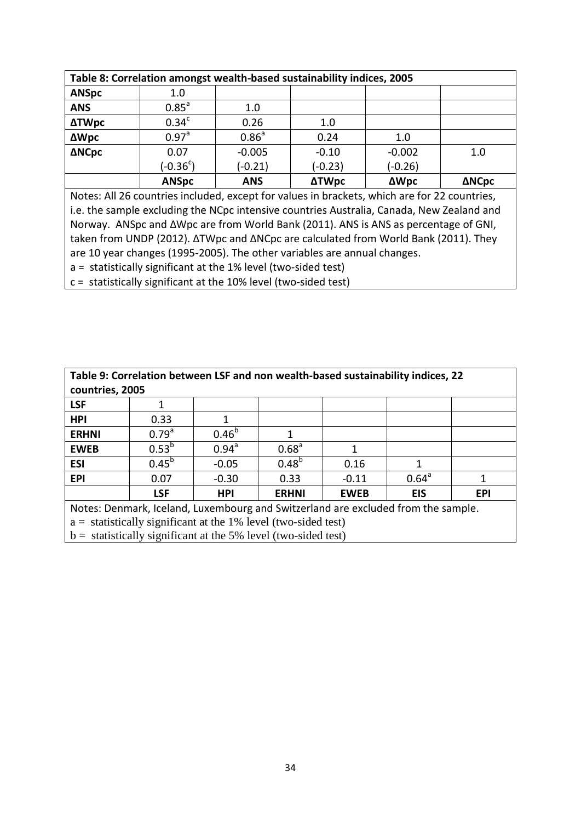| Table 8: Correlation amongst wealth-based sustainability indices, 2005 |                     |                   |              |             |              |  |  |  |  |
|------------------------------------------------------------------------|---------------------|-------------------|--------------|-------------|--------------|--|--|--|--|
| <b>ANSpc</b>                                                           | 1.0                 |                   |              |             |              |  |  |  |  |
| <b>ANS</b>                                                             | $0.85$ <sup>a</sup> | 1.0               |              |             |              |  |  |  |  |
| <b>ΔTWpc</b>                                                           | 0.34 <sup>c</sup>   | 0.26              | 1.0          |             |              |  |  |  |  |
| <b>ΔWpc</b>                                                            | 0.97 <sup>a</sup>   | 0.86 <sup>a</sup> | 0.24         | 1.0         |              |  |  |  |  |
| <b>ΔNCpc</b>                                                           | 0.07                | $-0.005$          | $-0.10$      | $-0.002$    | 1.0          |  |  |  |  |
|                                                                        | $(-0.36^c)$         | $(-0.21)$         | $(-0.23)$    | $(-0.26)$   |              |  |  |  |  |
|                                                                        | <b>ANSpc</b>        | <b>ANS</b>        | <b>ΔTWpc</b> | <b>ΔWpc</b> | <b>ANCpc</b> |  |  |  |  |

Notes: All 26 countries included, except for values in brackets, which are for 22 countries, i.e. the sample excluding the NCpc intensive countries Australia, Canada, New Zealand and Norway. ANSpc and ∆Wpc are from World Bank (2011). ANS is ANS as percentage of GNI, taken from UNDP (2012). ∆TWpc and ∆NCpc are calculated from World Bank (2011). They are 10 year changes (1995-2005). The other variables are annual changes.

a = statistically significant at the 1% level (two-sided test)

c = statistically significant at the 10% level (two-sided test)

| Table 9: Correlation between LSF and non wealth-based sustainability indices, 22 |                                                                                   |                |                   |             |                |            |  |  |  |  |  |
|----------------------------------------------------------------------------------|-----------------------------------------------------------------------------------|----------------|-------------------|-------------|----------------|------------|--|--|--|--|--|
| countries, 2005                                                                  |                                                                                   |                |                   |             |                |            |  |  |  |  |  |
| <b>LSF</b>                                                                       |                                                                                   |                |                   |             |                |            |  |  |  |  |  |
| <b>HPI</b>                                                                       | 0.33                                                                              |                |                   |             |                |            |  |  |  |  |  |
| <b>ERHNI</b>                                                                     | 0.79 <sup>a</sup>                                                                 | $0.46^{b}$     |                   |             |                |            |  |  |  |  |  |
| <b>EWEB</b>                                                                      | $0.53^{b}$                                                                        | $0.94^{\circ}$ | 0.68 <sup>a</sup> | 1           |                |            |  |  |  |  |  |
| <b>ESI</b>                                                                       | $0.45^{b}$                                                                        | $-0.05$        | $0.48^{b}$        | 0.16        |                |            |  |  |  |  |  |
| <b>EPI</b>                                                                       | 0.07                                                                              | $-0.30$        | 0.33              | $-0.11$     | $0.64^{\circ}$ |            |  |  |  |  |  |
|                                                                                  | <b>LSF</b>                                                                        | <b>HPI</b>     | <b>ERHNI</b>      | <b>EWEB</b> | <b>EIS</b>     | <b>EPI</b> |  |  |  |  |  |
|                                                                                  | Notes: Denmark, Iceland, Luxembourg and Switzerland are excluded from the sample. |                |                   |             |                |            |  |  |  |  |  |
|                                                                                  | $a =$ statistically significant at the 1% level (two-sided test)                  |                |                   |             |                |            |  |  |  |  |  |

 $\vert$  b = statistically significant at the 5% level (two-sided test)